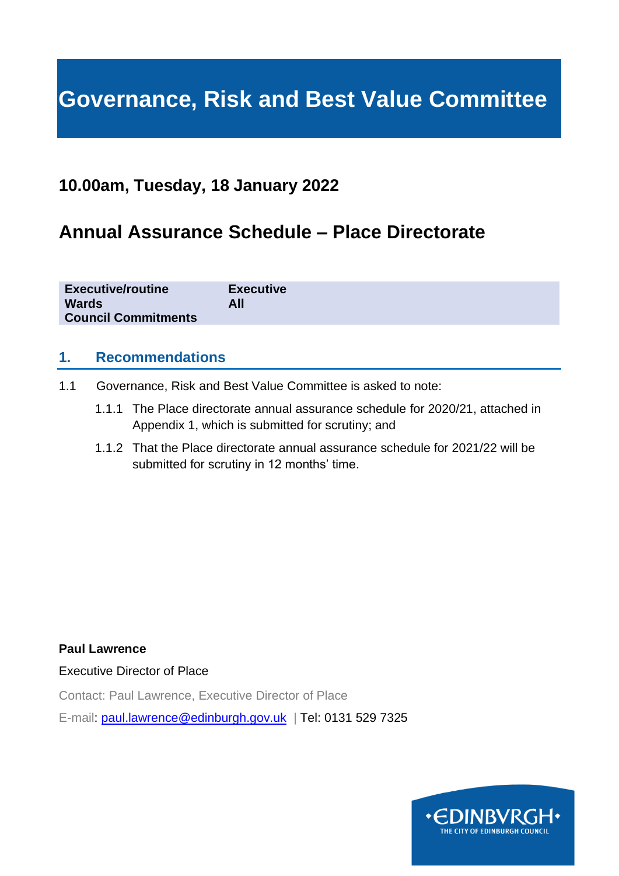# **Governance, Risk and Best Value Committee**

## **10.00am, Tuesday, 18 January 2022**

# **Annual Assurance Schedule – Place Directorate**

| <b>Executive/routine</b><br><b>Wards</b><br><b>Council Commitments</b> | <b>Executive</b><br>All |
|------------------------------------------------------------------------|-------------------------|
|                                                                        |                         |

#### **1. Recommendations**

- 1.1 Governance, Risk and Best Value Committee is asked to note:
	- 1.1.1 The Place directorate annual assurance schedule for 2020/21, attached in Appendix 1, which is submitted for scrutiny; and
	- 1.1.2 That the Place directorate annual assurance schedule for 2021/22 will be submitted for scrutiny in 12 months' time.

**Paul Lawrence**

Executive Director of Place

Contact: Paul Lawrence, Executive Director of Place

E-mail: [paul.lawrence@edinburgh.gov.uk](mailto:paul.lawrence@edinburgh.gov.uk) | Tel: 0131 529 7325

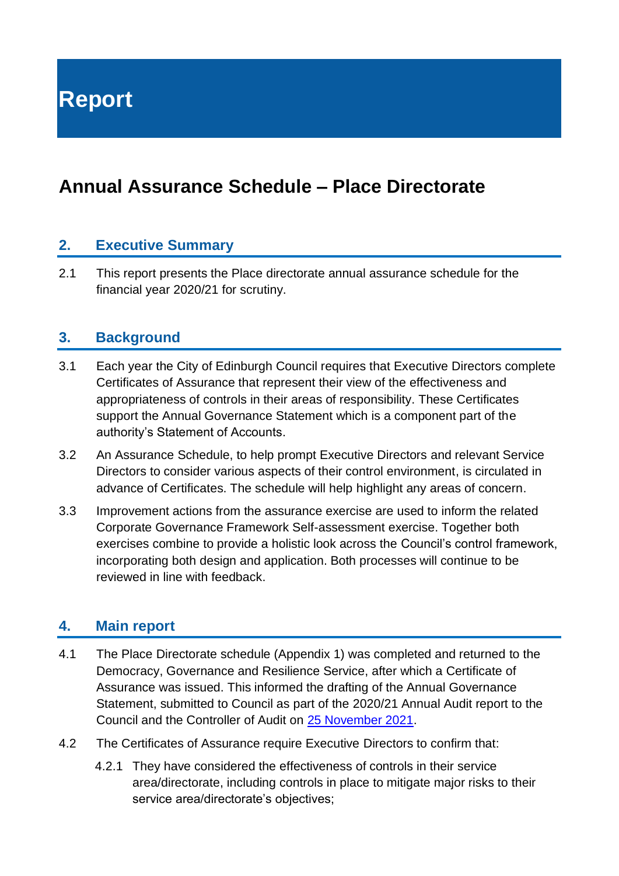**Report**

# **Annual Assurance Schedule – Place Directorate**

### **2. Executive Summary**

2.1 This report presents the Place directorate annual assurance schedule for the financial year 2020/21 for scrutiny.

#### **3. Background**

- 3.1 Each year the City of Edinburgh Council requires that Executive Directors complete Certificates of Assurance that represent their view of the effectiveness and appropriateness of controls in their areas of responsibility. These Certificates support the Annual Governance Statement which is a component part of the authority's Statement of Accounts.
- 3.2 An Assurance Schedule, to help prompt Executive Directors and relevant Service Directors to consider various aspects of their control environment, is circulated in advance of Certificates. The schedule will help highlight any areas of concern.
- 3.3 Improvement actions from the assurance exercise are used to inform the related Corporate Governance Framework Self-assessment exercise. Together both exercises combine to provide a holistic look across the Council's control framework, incorporating both design and application. Both processes will continue to be reviewed in line with feedback.

#### **4. Main report**

- 4.1 The Place Directorate schedule (Appendix 1) was completed and returned to the Democracy, Governance and Resilience Service, after which a Certificate of Assurance was issued. This informed the drafting of the Annual Governance Statement, submitted to Council as part of the 2020/21 Annual Audit report to the Council and the Controller of Audit on [25 November 2021.](https://democracy.edinburgh.gov.uk/documents/s40695/Item%207.4%20-%20City%20of%20Edinburgh%20Council%202020-21%20Annual%20Audit%20Report%20to%20the%20Council%20and%20the%20Controller.pdf)
- 4.2 The Certificates of Assurance require Executive Directors to confirm that:
	- 4.2.1 They have considered the effectiveness of controls in their service area/directorate, including controls in place to mitigate major risks to their service area/directorate's objectives;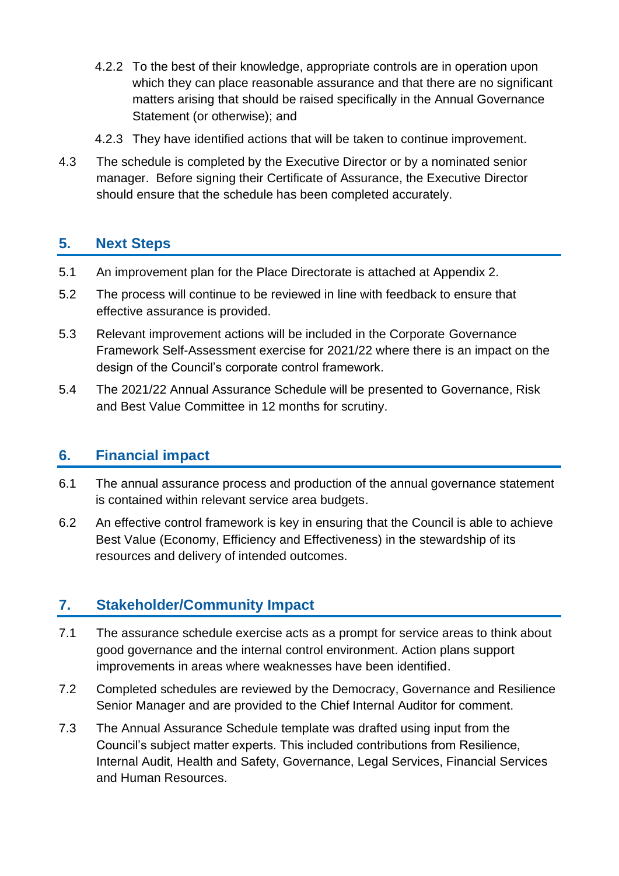- 4.2.2 To the best of their knowledge, appropriate controls are in operation upon which they can place reasonable assurance and that there are no significant matters arising that should be raised specifically in the Annual Governance Statement (or otherwise); and
- 4.2.3 They have identified actions that will be taken to continue improvement.
- 4.3 The schedule is completed by the Executive Director or by a nominated senior manager. Before signing their Certificate of Assurance, the Executive Director should ensure that the schedule has been completed accurately.

### **5. Next Steps**

- 5.1 An improvement plan for the Place Directorate is attached at Appendix 2.
- 5.2 The process will continue to be reviewed in line with feedback to ensure that effective assurance is provided.
- 5.3 Relevant improvement actions will be included in the Corporate Governance Framework Self-Assessment exercise for 2021/22 where there is an impact on the design of the Council's corporate control framework.
- 5.4 The 2021/22 Annual Assurance Schedule will be presented to Governance, Risk and Best Value Committee in 12 months for scrutiny.

#### **6. Financial impact**

- 6.1 The annual assurance process and production of the annual governance statement is contained within relevant service area budgets.
- 6.2 An effective control framework is key in ensuring that the Council is able to achieve Best Value (Economy, Efficiency and Effectiveness) in the stewardship of its resources and delivery of intended outcomes.

### **7. Stakeholder/Community Impact**

- 7.1 The assurance schedule exercise acts as a prompt for service areas to think about good governance and the internal control environment. Action plans support improvements in areas where weaknesses have been identified.
- 7.2 Completed schedules are reviewed by the Democracy, Governance and Resilience Senior Manager and are provided to the Chief Internal Auditor for comment.
- 7.3 The Annual Assurance Schedule template was drafted using input from the Council's subject matter experts. This included contributions from Resilience, Internal Audit, Health and Safety, Governance, Legal Services, Financial Services and Human Resources.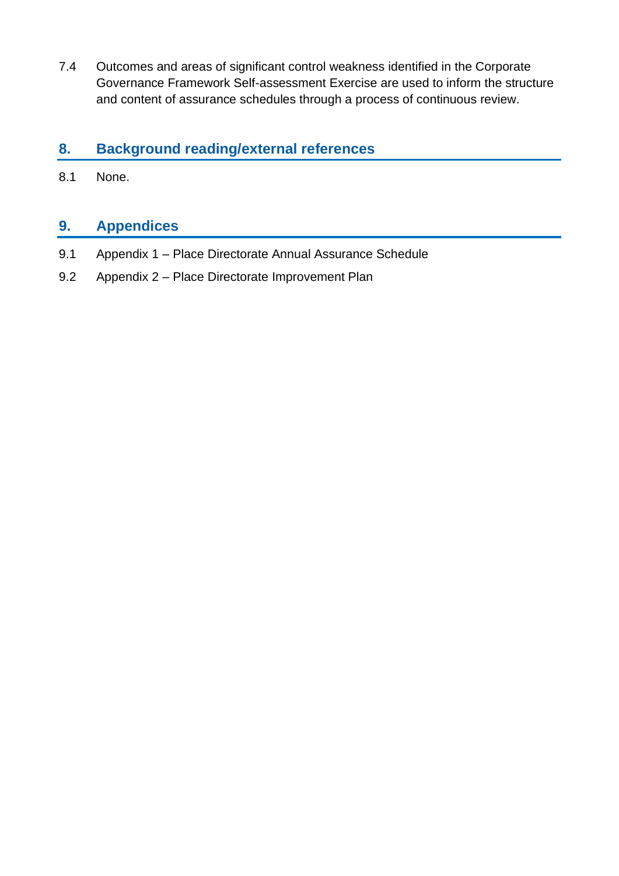7.4 Outcomes and areas of significant control weakness identified in the Corporate Governance Framework Self-assessment Exercise are used to inform the structure and content of assurance schedules through a process of continuous review.

### **8. Background reading/external references**

8.1 None.

### **9. Appendices**

- 9.1 Appendix 1 Place Directorate Annual Assurance Schedule
- 9.2 Appendix 2 Place Directorate Improvement Plan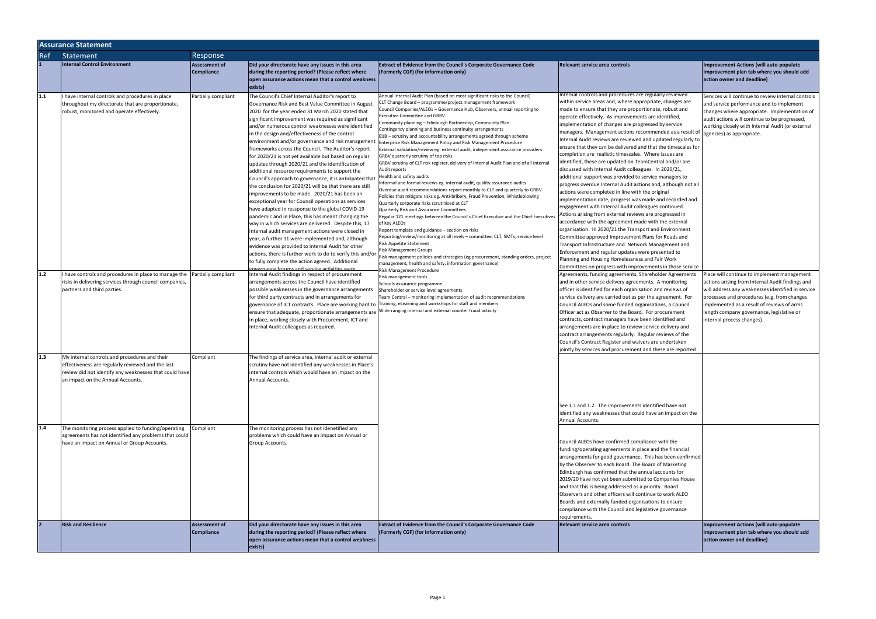|     | <b>Assurance Statement</b>                                                |                      |                                                                                                                    |                                                                                                                                                       |                                                                                                                     |                                                    |  |  |
|-----|---------------------------------------------------------------------------|----------------------|--------------------------------------------------------------------------------------------------------------------|-------------------------------------------------------------------------------------------------------------------------------------------------------|---------------------------------------------------------------------------------------------------------------------|----------------------------------------------------|--|--|
| Ref | Statement                                                                 | Response             |                                                                                                                    |                                                                                                                                                       |                                                                                                                     |                                                    |  |  |
|     | <b>Internal Control Environment</b>                                       | <b>Assessment of</b> | Did your directorate have any issues in this area                                                                  | <b>Extract of Evidence from the Council's Corporate Governance Code</b>                                                                               | Relevant service area controls                                                                                      | <b>Improvement Actions (will auto-populate</b>     |  |  |
|     |                                                                           | Compliance           | during the reporting period? (Please reflect where                                                                 | (Formerly CGF) (for information only)                                                                                                                 |                                                                                                                     | improvement plan tab where you should add          |  |  |
|     |                                                                           |                      | open assurance actions mean that a control weakness                                                                |                                                                                                                                                       |                                                                                                                     | action owner and deadline)                         |  |  |
|     |                                                                           |                      | exists)                                                                                                            |                                                                                                                                                       |                                                                                                                     |                                                    |  |  |
| 1.1 | I have internal controls and procedures in place                          | Partially compliant  | The Council's Chief Internal Auditor's report to                                                                   | Annual Internal Audit Plan (based on most significant risks to the Council)                                                                           | Internal controls and procedures are regularly reviewed                                                             | Services will continue to review internal controls |  |  |
|     | throughout my directorate that are proportionate,                         |                      | Governance Risk and Best Value Committee in August                                                                 | CLT Change Board - programme/project management framework                                                                                             | within service areas and, where appropriate, changes are                                                            | and service performance and to implement           |  |  |
|     | robust, monitored and operate effectively.                                |                      | 2020 for the year ended 31 March 2020 stated that                                                                  | Council Companies/ALEOs - Governance Hub, Observers, annual reporting to<br><b>Executive Committee and GRBV</b>                                       | made to ensure that they are proportionate, robust and                                                              | changes where appropriate. Implementation of       |  |  |
|     |                                                                           |                      | significant improvement was required as significant                                                                | Community planning - Edinburgh Partnership, Community Plan                                                                                            | operate effectively. As improvements are identified,                                                                | audit actions will continue to be progressed,      |  |  |
|     |                                                                           |                      | and/or numerous control weaknesses were identified                                                                 | Contingency planning and business continuity arrangements                                                                                             | implementation of changes are progressed by service<br>managers. Management actions recommended as a result of      | working closely with Internal Audit (or external   |  |  |
|     |                                                                           |                      | in the design and/effectiveness of the control                                                                     | EIJB – scrutiny and accountability arrangements agreed through scheme                                                                                 | Internal Audit reviews are reviewed and updated regularly to                                                        | agencies) as appropriate.                          |  |  |
|     |                                                                           |                      | environment and/or governance and risk managemen<br>frameworks across the Council. The Auditor's report            | Enterprise Risk Management Policy and Risk Management Procedure                                                                                       | ensure that they can be delivered and that the timescales for                                                       |                                                    |  |  |
|     |                                                                           |                      | for 2020/21 is not yet available but based on regular                                                              | External validation/review eg. external audit, independent assurance providers<br>GRBV quarterly scrutiny of top risks                                | completion are realistic timescales. Where issues are                                                               |                                                    |  |  |
|     |                                                                           |                      | updates through 2020/21 and the identification of                                                                  | GRBV scrutiny of CLT risk register, delivery of Internal Audit Plan and of all Internal                                                               | identified, these are updated on TeamCentral and/or are                                                             |                                                    |  |  |
|     |                                                                           |                      | additional resource requirements to support the                                                                    | Audit reports                                                                                                                                         | discussed with Internal Audit colleagues. In 2020/21,                                                               |                                                    |  |  |
|     |                                                                           |                      | Council's approach to governance, it is anticipated tha                                                            | Health and safety audits                                                                                                                              | additional support was provided to service managers to                                                              |                                                    |  |  |
|     |                                                                           |                      | the conclusion for 2020/21 will be that there are still                                                            | Informal and formal reviews eg. internal audit, quality assurance audits<br>Overdue audit recommendations report monthly to CLT and quarterly to GRBV | progress overdue Internal Audit actions and, although not all                                                       |                                                    |  |  |
|     |                                                                           |                      | improvements to be made. 2020/21 has been an                                                                       | Policies that mitigate risks eg. Anti-bribery, Fraud Prevention, Whistleblowing                                                                       | actions were completed in line with the original<br>implementation date, progress was made and recorded and         |                                                    |  |  |
|     |                                                                           |                      | exceptional year for Council operations as services                                                                | Quarterly corporate risks scrutinised at CLT                                                                                                          | engagement with Internal Audit colleagues continued.                                                                |                                                    |  |  |
|     |                                                                           |                      | have adapted in ressponse to the global COVID-19<br>pandemic and in Place, this has meant changing the             | Quarterly Risk and Assurance Committees<br>Regular 121 meetings between the Council's Chief Executive and the Chief Executives                        | Actions arising from external reviews are progressed in                                                             |                                                    |  |  |
|     |                                                                           |                      | way in which services are delivered. Despite this, 17                                                              | of key ALEOs                                                                                                                                          | accordance with the agreement made with the external                                                                |                                                    |  |  |
|     |                                                                           |                      | internal audit management actions were closed in                                                                   | Report template and guidance - section on risks                                                                                                       | organisation. In 2020/21 the Transport and Environment                                                              |                                                    |  |  |
|     |                                                                           |                      | year, a further 11 were implemented and, although                                                                  | Reporting/review/monitoring at all levels - committee, CLT, SMTs, service level                                                                       | Committee approved Improvement Plans for Roads and                                                                  |                                                    |  |  |
|     |                                                                           |                      | evidence was provided to Internal Audit for other                                                                  | Risk Appetite Statement                                                                                                                               | Transport Infrastructure and Network Management and                                                                 |                                                    |  |  |
|     |                                                                           |                      | actions, there is further work to do to verify this and/or                                                         | <b>Risk Management Groups</b><br>Risk management policies and strategies (eg procurement, standing orders, project                                    | Enforcement and regular updates were presented to                                                                   |                                                    |  |  |
|     |                                                                           |                      | to fully complete the action agreed. Additional                                                                    | management, health and safety, information governance)                                                                                                | Planning and Housing Homelessness and Fair Work                                                                     |                                                    |  |  |
| 1.2 | I have controls and procedures in place to manage the Partially compliant |                      | zovernance forums and service activities were<br>Internal Audit findings in respect of procurement                 | Risk Management Procedure                                                                                                                             | Committees on progress with improvements in those service<br>Agreements, funding agreements, Shareholder Agreements | Place will continue to implement management        |  |  |
|     | risks in delivering services through council companies,                   |                      | arrangements across the Council have identified                                                                    | Risk management tools                                                                                                                                 | and in other service delivery agreements. A monitoring                                                              | actions arising from Internal Audit findings and   |  |  |
|     | partners and third parties.                                               |                      | possible weaknesses in the governance arrangements                                                                 | Schools assurance programme<br>Shareholder or service level agreements                                                                                | officer is identified for each organisation and reviews of                                                          | will address any weaknesses identified in service  |  |  |
|     |                                                                           |                      | for third party contracts and in arrangements for                                                                  | Team Central - monitoring implementation of audit recommendations                                                                                     | service delivery are carried out as per the agreement. For                                                          | processes and procedures (e.g. from changes        |  |  |
|     |                                                                           |                      | governance of ICT contracts. Place are working hard to Training, eLearning and workshops for staff and members     |                                                                                                                                                       | Council ALEOs and some funded organisations, a Council                                                              | implemented as a result of reviews of arms         |  |  |
|     |                                                                           |                      | ensure that adequate, proportionate arrangements are $ $ Wide ranging internal and external counter fraud activity |                                                                                                                                                       | Officer act as Observer to the Board. For procurement                                                               | length company governance, legislative or          |  |  |
|     |                                                                           |                      | in place, working closely with Procurement, ICT and                                                                |                                                                                                                                                       | contracts, contract managers have been identified and                                                               | internal process changes).                         |  |  |
|     |                                                                           |                      | Internal Audit colleagues as required.                                                                             |                                                                                                                                                       | arrangements are in place to review service delivery and                                                            |                                                    |  |  |
|     |                                                                           |                      |                                                                                                                    |                                                                                                                                                       | contract arrangements regularly. Regular reviews of the<br>Council's Contract Register and waivers are undertaken   |                                                    |  |  |
|     |                                                                           |                      |                                                                                                                    |                                                                                                                                                       | jointly by services and procurement and these are reported                                                          |                                                    |  |  |
| 1.3 | My internal controls and procedures and their                             | Compliant            | The findings of service area, internal audit or external                                                           |                                                                                                                                                       |                                                                                                                     |                                                    |  |  |
|     | effectiveness are regularly reviewed and the last                         |                      | scrutiny have not identified any weaknesses in Place's                                                             |                                                                                                                                                       |                                                                                                                     |                                                    |  |  |
|     | review did not identify any weaknesses that could have                    |                      | internal controls which would have an impact on the                                                                |                                                                                                                                                       |                                                                                                                     |                                                    |  |  |
|     | an impact on the Annual Accounts.                                         |                      | Annual Accounts.                                                                                                   |                                                                                                                                                       |                                                                                                                     |                                                    |  |  |
|     |                                                                           |                      |                                                                                                                    |                                                                                                                                                       |                                                                                                                     |                                                    |  |  |
|     |                                                                           |                      |                                                                                                                    |                                                                                                                                                       |                                                                                                                     |                                                    |  |  |
|     |                                                                           |                      |                                                                                                                    |                                                                                                                                                       | See 1.1 and 1.2. The improvements identified have not                                                               |                                                    |  |  |
|     |                                                                           |                      |                                                                                                                    |                                                                                                                                                       | identified any weaknesses that could have an impact on the                                                          |                                                    |  |  |
|     |                                                                           |                      |                                                                                                                    |                                                                                                                                                       | Annual Accounts.                                                                                                    |                                                    |  |  |
| 1.4 | The monitoring process applied to funding/operating                       | Compliant            | The monitoring process has not idenetified any                                                                     |                                                                                                                                                       |                                                                                                                     |                                                    |  |  |
|     | agreements has not identified any problems that could                     |                      | problems which could have an impact on Annual or                                                                   |                                                                                                                                                       | Council ALEOs have confirmed compliance with the                                                                    |                                                    |  |  |
|     | have an impact on Annual or Group Accounts.                               |                      | Group Accounts.                                                                                                    |                                                                                                                                                       | funding/operating agreements in place and the financial                                                             |                                                    |  |  |
|     |                                                                           |                      |                                                                                                                    |                                                                                                                                                       | arrangements for good governance. This has been confirmed                                                           |                                                    |  |  |
|     |                                                                           |                      |                                                                                                                    |                                                                                                                                                       | by the Observer to each Board. The Board of Marketing                                                               |                                                    |  |  |
|     |                                                                           |                      |                                                                                                                    |                                                                                                                                                       | Edinburgh has confirmed that the annual accounts for                                                                |                                                    |  |  |
|     |                                                                           |                      |                                                                                                                    |                                                                                                                                                       | 2019/20 have not yet been submitted to Companies House                                                              |                                                    |  |  |
|     |                                                                           |                      |                                                                                                                    |                                                                                                                                                       | and that this is being addressed as a priority. Board                                                               |                                                    |  |  |
|     |                                                                           |                      |                                                                                                                    |                                                                                                                                                       | Observers and other officers will continue to work ALEO                                                             |                                                    |  |  |
|     |                                                                           |                      |                                                                                                                    |                                                                                                                                                       | Boards and externally funded organisations to ensure                                                                |                                                    |  |  |
|     |                                                                           |                      |                                                                                                                    |                                                                                                                                                       | compliance with the Council and legislative governance<br>requirements.                                             |                                                    |  |  |
|     | <b>Risk and Resilience</b>                                                | <b>Assessment of</b> | Did your directorate have any issues in this area                                                                  | <b>Extract of Evidence from the Council's Corporate Governance Code</b>                                                                               | Relevant service area controls                                                                                      | <b>Improvement Actions (will auto-populate</b>     |  |  |
|     |                                                                           | <b>Compliance</b>    | during the reporting period? (Please reflect where                                                                 | (Formerly CGF) (for information only)                                                                                                                 |                                                                                                                     | improvement plan tab where you should add          |  |  |
|     |                                                                           |                      | open assurance actions mean that a control weakness                                                                |                                                                                                                                                       |                                                                                                                     | action owner and deadline)                         |  |  |
|     |                                                                           |                      | exists)                                                                                                            |                                                                                                                                                       |                                                                                                                     |                                                    |  |  |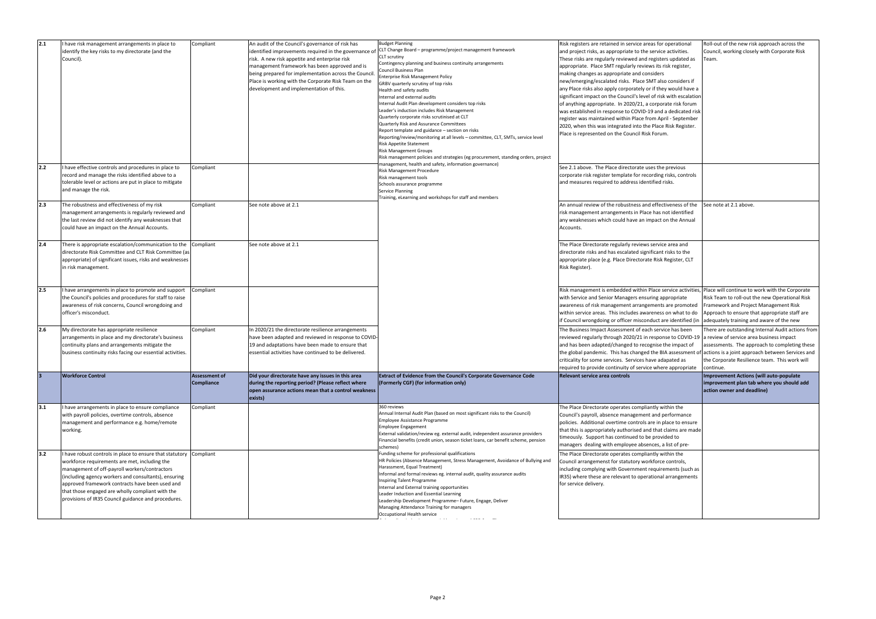| 2.1   | have risk management arrangements in place to<br>identify the key risks to my directorate (and the<br>Council).                                                                                                                                                                                                                                                                          | Compliant                                 | An audit of the Council's governance of risk has<br>identified improvements required in the governance o<br>risk. A new risk appetite and enterprise risk<br>management framework has been approved and is<br>being prepared for implementation across the Council<br>Place is working with the Corporate Risk Team on the<br>development and implementation of this. | <b>Budget Planning</b><br>CLT Change Board - programme/project management framework<br>CLT scrutiny<br>Contingency planning and business continuity arrangements<br>Council Business Plan<br>Enterprise Risk Management Policy<br>GRBV quarterly scrutiny of top risks<br>Health and safety audits<br>Internal and external audits<br>Internal Audit Plan development considers top risks<br>Leader's induction includes Risk Management<br>Quarterly corporate risks scrutinised at CLT<br><b>Quarterly Risk and Assurance Committees</b><br>Report template and guidance - section on risks<br>Reporting/review/monitoring at all levels – committee, CLT, SMTs, service level<br>Risk Appetite Statement<br><b>Risk Management Groups</b><br>Risk management policies and strategies (eg procurement, standing orders, project<br>management, health and safety, information governance) | Risk registers are retained in service areas for operational<br>and project risks, as appropriate to the service activities.<br>These risks are regularly reviewed and registers updated as<br>appropriate. Place SMT regularly reviews its risk register,<br>making changes as appropriate and considers<br>new/emerging/escalated risks. Place SMT also considers if<br>any Place risks also apply corporately or if they would have a<br>significant impact on the Council's level of risk with escalation<br>of anything appropriate. In 2020/21, a corporate risk forum<br>was established in response to COVID-19 and a dedicated risk<br>register was maintained within Place from April - September<br>2020, when this was integrated into the Place Risk Register.<br>Place is represented on the Council Risk Forum. | Roll-out of the new risk approach across the<br>Council, working closely with Corporate Risk<br>Team.                                                                                                        |
|-------|------------------------------------------------------------------------------------------------------------------------------------------------------------------------------------------------------------------------------------------------------------------------------------------------------------------------------------------------------------------------------------------|-------------------------------------------|-----------------------------------------------------------------------------------------------------------------------------------------------------------------------------------------------------------------------------------------------------------------------------------------------------------------------------------------------------------------------|---------------------------------------------------------------------------------------------------------------------------------------------------------------------------------------------------------------------------------------------------------------------------------------------------------------------------------------------------------------------------------------------------------------------------------------------------------------------------------------------------------------------------------------------------------------------------------------------------------------------------------------------------------------------------------------------------------------------------------------------------------------------------------------------------------------------------------------------------------------------------------------------|--------------------------------------------------------------------------------------------------------------------------------------------------------------------------------------------------------------------------------------------------------------------------------------------------------------------------------------------------------------------------------------------------------------------------------------------------------------------------------------------------------------------------------------------------------------------------------------------------------------------------------------------------------------------------------------------------------------------------------------------------------------------------------------------------------------------------------|--------------------------------------------------------------------------------------------------------------------------------------------------------------------------------------------------------------|
| $2.2$ | I have effective controls and procedures in place to<br>record and manage the risks identified above to a<br>tolerable level or actions are put in place to mitigate<br>and manage the risk.                                                                                                                                                                                             | Compliant                                 |                                                                                                                                                                                                                                                                                                                                                                       | Risk Management Procedure<br>Risk management tools<br>Schools assurance programme<br>Service Planning<br>Training, eLearning and workshops for staff and members                                                                                                                                                                                                                                                                                                                                                                                                                                                                                                                                                                                                                                                                                                                            | See 2.1 above. The Place directorate uses the previous<br>corporate risk register template for recording risks, controls<br>and measures required to address identified risks.                                                                                                                                                                                                                                                                                                                                                                                                                                                                                                                                                                                                                                                 |                                                                                                                                                                                                              |
| 2.3   | The robustness and effectiveness of my risk<br>management arrangements is regularly reviewed and<br>the last review did not identify any weaknesses that<br>could have an impact on the Annual Accounts.                                                                                                                                                                                 | Compliant                                 | See note above at 2.1                                                                                                                                                                                                                                                                                                                                                 |                                                                                                                                                                                                                                                                                                                                                                                                                                                                                                                                                                                                                                                                                                                                                                                                                                                                                             | An annual review of the robustness and effectiveness of the<br>risk management arrangements in Place has not identified<br>any weaknesses which could have an impact on the Annual<br>Accounts.                                                                                                                                                                                                                                                                                                                                                                                                                                                                                                                                                                                                                                | See note at 2.1 above.                                                                                                                                                                                       |
| 2.4   | There is appropriate escalation/communication to the<br>directorate Risk Committee and CLT Risk Committee (as<br>appropriate) of significant issues, risks and weaknesses<br>in risk management.                                                                                                                                                                                         | Compliant                                 | See note above at 2.1                                                                                                                                                                                                                                                                                                                                                 |                                                                                                                                                                                                                                                                                                                                                                                                                                                                                                                                                                                                                                                                                                                                                                                                                                                                                             | The Place Directorate regularly reviews service area and<br>directorate risks and has escalated significant risks to the<br>appropriate place (e.g. Place Directorate Risk Register, CLT<br>Risk Register).                                                                                                                                                                                                                                                                                                                                                                                                                                                                                                                                                                                                                    |                                                                                                                                                                                                              |
| 2.5   | have arrangements in place to promote and support<br>the Council's policies and procedures for staff to raise<br>awareness of risk concerns, Council wrongdoing and<br>officer's misconduct.                                                                                                                                                                                             | Compliant                                 |                                                                                                                                                                                                                                                                                                                                                                       |                                                                                                                                                                                                                                                                                                                                                                                                                                                                                                                                                                                                                                                                                                                                                                                                                                                                                             | Risk management is embedded within Place service activities,<br>with Service and Senior Managers ensuring appropriate<br>awareness of risk management arrangements are promoted<br>within service areas. This includes awareness on what to do<br>If Council wrongdoing or officer misconduct are identified (in adequately training and aware of the new                                                                                                                                                                                                                                                                                                                                                                                                                                                                      | Place will continue to work with the Corporate<br>Risk Team to roll-out the new Operational Risk<br>Framework and Project Management Risk<br>Approach to ensure that appropriate staff are                   |
| 2.6   | My directorate has appropriate resilience<br>arrangements in place and my directorate's business<br>continuity plans and arrangements mitigate the<br>business continuity risks facing our essential activities.                                                                                                                                                                         | Compliant                                 | In 2020/21 the directorate resilience arrangements<br>have been adapted and reviewed in response to COVID-<br>19 and adaptations have been made to ensure that<br>essential activities have continued to be delivered                                                                                                                                                 |                                                                                                                                                                                                                                                                                                                                                                                                                                                                                                                                                                                                                                                                                                                                                                                                                                                                                             | The Business Impact Assessment of each service has been<br>reviewed regularly through 2020/21 in response to COVID-19<br>and has been adapted/changed to recognise the impact of<br>the global pandemic. This has changed the BIA assessment of actions is a joint approach between Services and<br>criticality for some services. Services have adapated as<br>required to provide continuity of service where appropriate                                                                                                                                                                                                                                                                                                                                                                                                    | There are outstanding Internal Audit actions from<br>a review of service area business impact<br>assessments. The approach to completing these<br>the Corporate Resilience team. This work will<br>continue. |
|       | <b>Workforce Control</b>                                                                                                                                                                                                                                                                                                                                                                 | <b>Assessment of</b><br><b>Compliance</b> | Did your directorate have any issues in this area<br>during the reporting period? (Please reflect where<br>open assurance actions mean that a control weakness<br>exists)                                                                                                                                                                                             | Extract of Evidence from the Council's Corporate Governance Code<br>(Formerly CGF) (for information only)                                                                                                                                                                                                                                                                                                                                                                                                                                                                                                                                                                                                                                                                                                                                                                                   | Relevant service area controls                                                                                                                                                                                                                                                                                                                                                                                                                                                                                                                                                                                                                                                                                                                                                                                                 | <b>Improvement Actions (will auto-populate</b><br>improvement plan tab where you should add<br>action owner and deadline)                                                                                    |
| 3.1   | I have arrangements in place to ensure compliance<br>with payroll policies, overtime controls, absence<br>management and performance e.g. home/remote<br>working.                                                                                                                                                                                                                        | Compliant                                 |                                                                                                                                                                                                                                                                                                                                                                       | 360 reviews<br>Annual Internal Audit Plan (based on most significant risks to the Council)<br>Employee Assistance Programme<br>Employee Engagement<br>External validation/review eg. external audit, independent assurance providers<br>Financial benefits (credit union, season ticket loans, car benefit scheme, pension<br>schemes)                                                                                                                                                                                                                                                                                                                                                                                                                                                                                                                                                      | The Place Directorate operates compliantly within the<br>Council's payroll, absence management and performance<br>policies. Additional overtime controls are in place to ensure<br>that this is appropriately authorised and that claims are made<br>timeously. Support has continued to be provided to<br>managers dealing with employee absences, a list of pre-                                                                                                                                                                                                                                                                                                                                                                                                                                                             |                                                                                                                                                                                                              |
| 3.2   | have robust controls in place to ensure that statutory Compliant<br>workforce requirements are met, including the<br>management of off-payroll workers/contractors<br>(including agency workers and consultants), ensuring<br>approved framework contracts have been used and<br>that those engaged are wholly compliant with the<br>provisions of IR35 Council guidance and procedures. |                                           |                                                                                                                                                                                                                                                                                                                                                                       | Funding scheme for professional qualifications<br>HR Policies (Absence Management, Stress Management, Avoidance of Bullying and<br>Harassment, Equal Treatment)<br>Informal and formal reviews eg. internal audit, quality assurance audits<br>Inspiring Talent Programme<br>Internal and External training opportunities<br>Leader Induction and Essential Learning<br>Leadership Development Programme- Future, Engage, Deliver<br>Managing Attendance Training for managers<br>Occupational Health service<br><b>Contract Contract</b>                                                                                                                                                                                                                                                                                                                                                   | The Place Directorate operates compliantly within the<br>Council arrangemenst for statutory workforce controls,<br>including complying with Government requirements (such as<br>IR35) where these are relevant to operational arrangements<br>for service delivery.                                                                                                                                                                                                                                                                                                                                                                                                                                                                                                                                                            |                                                                                                                                                                                                              |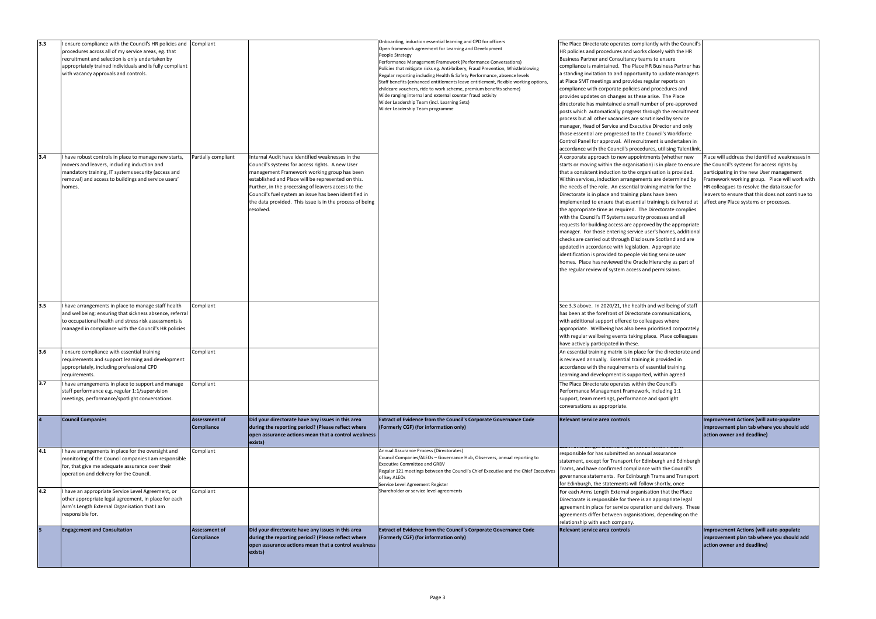| 3.3 | ensure compliance with the Council's HR policies and Compliant<br>procedures across all of my service areas, eg. that                                                                                                            |                                    |                                                                                                                                                                                                                                                                                                                                                                                                   | Onboarding, induction essential learning and CPD for officers<br>Open framework agreement for Learning and Development<br>People Strategy                                                                                                                                                                                                                                                                                                                                                                                            | The Place Directorate operates compliantly with the Council's<br>HR policies and procedures and works closely with the HR                                                                                                                                                                                                                                                                                                                                                                                                                                                                                                                                                                                                                                                                                                                                                                                                                                                                                       |                                                                                                                                                                                                                                                                                                                                         |
|-----|----------------------------------------------------------------------------------------------------------------------------------------------------------------------------------------------------------------------------------|------------------------------------|---------------------------------------------------------------------------------------------------------------------------------------------------------------------------------------------------------------------------------------------------------------------------------------------------------------------------------------------------------------------------------------------------|--------------------------------------------------------------------------------------------------------------------------------------------------------------------------------------------------------------------------------------------------------------------------------------------------------------------------------------------------------------------------------------------------------------------------------------------------------------------------------------------------------------------------------------|-----------------------------------------------------------------------------------------------------------------------------------------------------------------------------------------------------------------------------------------------------------------------------------------------------------------------------------------------------------------------------------------------------------------------------------------------------------------------------------------------------------------------------------------------------------------------------------------------------------------------------------------------------------------------------------------------------------------------------------------------------------------------------------------------------------------------------------------------------------------------------------------------------------------------------------------------------------------------------------------------------------------|-----------------------------------------------------------------------------------------------------------------------------------------------------------------------------------------------------------------------------------------------------------------------------------------------------------------------------------------|
|     | recruitment and selection is only undertaken by<br>appropriately trained individuals and is fully compliant<br>with vacancy approvals and controls.                                                                              |                                    |                                                                                                                                                                                                                                                                                                                                                                                                   | Performance Management Framework (Performance Conversations)<br>Policies that mitigate risks eg. Anti-bribery, Fraud Prevention, Whistleblowing<br>Regular reporting including Health & Safety Performance, absence levels<br>Staff benefits (enhanced entitlements leave entitlement, flexible working options,<br>childcare vouchers, ride to work scheme, premium benefits scheme)<br>Wide ranging internal and external counter fraud activity<br>Wider Leadership Team (incl. Learning Sets)<br>Wider Leadership Team programme | Business Partner and Consultancy teams to ensure<br>compliance is maintained. The Place HR Business Partner has<br>a standing invitation to and opportunity to update managers<br>at Place SMT meetings and provides regular reports on<br>compliance with corporate policies and procedures and<br>provides updates on changes as these arise. The Place<br>directorate has maintained a small number of pre-approved<br>posts which automatically progress through the recruitment                                                                                                                                                                                                                                                                                                                                                                                                                                                                                                                            |                                                                                                                                                                                                                                                                                                                                         |
|     |                                                                                                                                                                                                                                  |                                    |                                                                                                                                                                                                                                                                                                                                                                                                   |                                                                                                                                                                                                                                                                                                                                                                                                                                                                                                                                      | process but all other vacancies are scrutinised by service<br>manager, Head of Service and Executive Director and only<br>those essential are progressed to the Council's Workforce<br>Control Panel for approval. All recruitment is undertaken in<br>accordance with the Council's procedures, utilising Talentlink                                                                                                                                                                                                                                                                                                                                                                                                                                                                                                                                                                                                                                                                                           |                                                                                                                                                                                                                                                                                                                                         |
| 3.4 | I have robust controls in place to manage new starts,<br>movers and leavers, including induction and<br>mandatory training, IT systems security (access and<br>removal) and access to buildings and service users'<br>homes.     | Partially compliant                | Internal Audit have identified weaknesses in the<br>Council's systems for access rights. A new User<br>management Framework working group has been<br>established and Place will be represented on this.<br>Further, in the processing of leavers access to the<br>Council's fuel system an issue has been identified in<br>the data provided. This issue is in the process of being<br>resolved. |                                                                                                                                                                                                                                                                                                                                                                                                                                                                                                                                      | A corporate approach to new appointments (whether new<br>starts or moving within the organisation) is in place to ensure<br>that a consistent induction to the organisation is provided.<br>Within services, induction arrangements are determined by<br>the needs of the role. An essential training matrix for the<br>Directorate is in place and training plans have been<br>implemented to ensure that essential training is delivered at<br>the appropriate time as required. The Directorate complies<br>with the Council's IT Systems security processes and all<br>requests for building access are approved by the appropriate<br>manager. For those entering service user's homes, additional<br>checks are carried out through Disclosure Scotland and are<br>updated in accordance with legislation. Appropriate<br>identification is provided to people visiting service user<br>homes. Place has reviewed the Oracle Hierarchy as part of<br>the regular review of system access and permissions. | Place will address the identified weaknesses in<br>the Council's systems for access rights by<br>participating in the new User management<br>Framework working group. Place will work with<br>HR colleagues to resolve the data issue for<br>leavers to ensure that this does not continue to<br>affect any Place systems or processes. |
| 3.5 | I have arrangements in place to manage staff health<br>and wellbeing; ensuring that sickness absence, referral<br>to occupational health and stress risk assessments is<br>managed in compliance with the Council's HR policies. | Compliant                          |                                                                                                                                                                                                                                                                                                                                                                                                   |                                                                                                                                                                                                                                                                                                                                                                                                                                                                                                                                      | See 3.3 above. In 2020/21, the health and wellbeing of staff<br>has been at the forefront of Directorate communications,<br>with additional support offered to colleagues where<br>appropriate. Wellbeing has also been prioritised corporately<br>with regular wellbeing events taking place. Place colleagues<br>have actively participated in these.                                                                                                                                                                                                                                                                                                                                                                                                                                                                                                                                                                                                                                                         |                                                                                                                                                                                                                                                                                                                                         |
| 3.6 | I ensure compliance with essential training<br>requirements and support learning and development<br>appropriately, including professional CPD<br>requirements.                                                                   | Compliant                          |                                                                                                                                                                                                                                                                                                                                                                                                   |                                                                                                                                                                                                                                                                                                                                                                                                                                                                                                                                      | An essential training matrix is in place for the directorate and<br>is reviewed annually. Essential training is provided in<br>accordance with the requirements of essential training.<br>Learning and development is supported, within agreed                                                                                                                                                                                                                                                                                                                                                                                                                                                                                                                                                                                                                                                                                                                                                                  |                                                                                                                                                                                                                                                                                                                                         |
| 3.7 | I have arrangements in place to support and manage<br>staff performance e.g. regular 1:1/supervision<br>meetings, performance/spotlight conversations.                                                                           | Compliant                          |                                                                                                                                                                                                                                                                                                                                                                                                   |                                                                                                                                                                                                                                                                                                                                                                                                                                                                                                                                      | The Place Directorate operates within the Council's<br>Performance Management Framework, including 1:1<br>support, team meetings, performance and spotlight<br>conversations as appropriate.                                                                                                                                                                                                                                                                                                                                                                                                                                                                                                                                                                                                                                                                                                                                                                                                                    |                                                                                                                                                                                                                                                                                                                                         |
|     | <b>Council Companies</b>                                                                                                                                                                                                         | <b>Assessment of</b><br>Compliance | Did your directorate have any issues in this area<br>during the reporting period? (Please reflect where<br>open assurance actions mean that a control weakness<br>exists)                                                                                                                                                                                                                         | Extract of Evidence from the Council's Corporate Governance Code<br>(Formerly CGF) (for information only)                                                                                                                                                                                                                                                                                                                                                                                                                            | Relevant service area controls                                                                                                                                                                                                                                                                                                                                                                                                                                                                                                                                                                                                                                                                                                                                                                                                                                                                                                                                                                                  | Improvement Actions (will auto-populate<br>improvement plan tab where you should add<br>action owner and deadline)                                                                                                                                                                                                                      |
| 4.1 | I have arrangements in place for the oversight and<br>monitoring of the Council companies I am responsible<br>for, that give me adequate assurance over their<br>operation and delivery for the Council.                         | Compliant                          |                                                                                                                                                                                                                                                                                                                                                                                                   | Annual Assurance Process (Directorates)<br>Council Companies/ALEOs - Governance Hub, Observers, annual reporting to<br><b>Executive Committee and GRBV</b><br>Regular 121 meetings between the Council's Chief Executive and the Chief Executives<br>of key ALEOs<br>Service Level Agreement Register                                                                                                                                                                                                                                | responsible for has submitted an annual assurance<br>statement, except for Transport for Edinburgh and Edinburgh<br>Trams, and have confirmed compliance with the Council's<br>governance statements. For Edinburgh Trams and Transport<br>for Edinburgh, the statements will follow shortly, once                                                                                                                                                                                                                                                                                                                                                                                                                                                                                                                                                                                                                                                                                                              |                                                                                                                                                                                                                                                                                                                                         |
| 4.2 | I have an appropriate Service Level Agreement, or<br>other appropriate legal agreement, in place for each<br>Arm's Length External Organisation that I am<br>responsible for.                                                    | Compliant                          |                                                                                                                                                                                                                                                                                                                                                                                                   | Shareholder or service level agreements                                                                                                                                                                                                                                                                                                                                                                                                                                                                                              | For each Arms Length External organisation that the Place<br>Directorate is responsible for there is an appropriate legal<br>agreement in place for service operation and delivery. These<br>agreements differ between organisations, depending on the<br>relationship with each company.                                                                                                                                                                                                                                                                                                                                                                                                                                                                                                                                                                                                                                                                                                                       |                                                                                                                                                                                                                                                                                                                                         |
| 15  | <b>Engagement and Consultation</b>                                                                                                                                                                                               | <b>Assessment of</b><br>Compliance | Did your directorate have any issues in this area<br>during the reporting period? (Please reflect where<br>open assurance actions mean that a control weakness<br>exists)                                                                                                                                                                                                                         | <b>Extract of Evidence from the Council's Corporate Governance Code</b><br>(Formerly CGF) (for information only)                                                                                                                                                                                                                                                                                                                                                                                                                     | Relevant service area controls                                                                                                                                                                                                                                                                                                                                                                                                                                                                                                                                                                                                                                                                                                                                                                                                                                                                                                                                                                                  | Improvement Actions (will auto-populate<br>improvement plan tab where you should add<br>action owner and deadline)                                                                                                                                                                                                                      |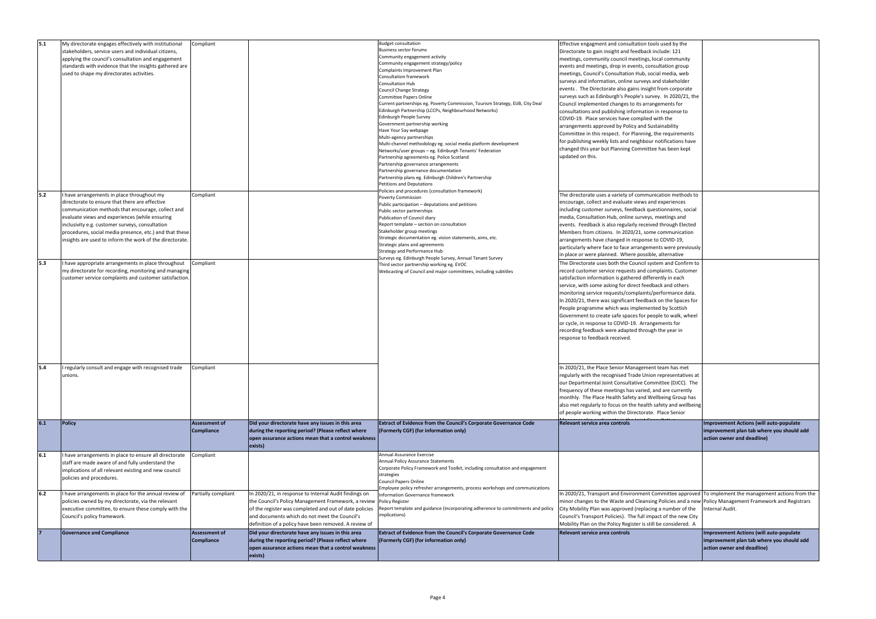| 5.1 | My directorate engages effectively with institutional    | Compliant            |                                                                | <b>Budget consultation</b>                                                      | Effective engagment and consultation tools used by the                                                 |                                                |
|-----|----------------------------------------------------------|----------------------|----------------------------------------------------------------|---------------------------------------------------------------------------------|--------------------------------------------------------------------------------------------------------|------------------------------------------------|
|     | stakeholders, service users and individual citizens,     |                      |                                                                | Business sector forums                                                          | Directorate to gain insight and feedback include: 121                                                  |                                                |
|     |                                                          |                      |                                                                | Community engagement activity                                                   |                                                                                                        |                                                |
|     | applying the council's consultation and engagement       |                      |                                                                |                                                                                 | meetings, community council meetings, local community                                                  |                                                |
|     | standards with evidence that the insights gathered are   |                      |                                                                | Community engagement strategy/policy                                            | events and meetings, drop in events, consultation group                                                |                                                |
|     |                                                          |                      |                                                                | Complaints Improvement Plan                                                     |                                                                                                        |                                                |
|     | used to shape my directorates activities.                |                      |                                                                | Consultation framework                                                          | meetings, Council's Consultation Hub, social media, web                                                |                                                |
|     |                                                          |                      |                                                                | Consultation Hub                                                                | surveys and information, online surveys and stakeholder                                                |                                                |
|     |                                                          |                      |                                                                |                                                                                 | events. The Directorate also gains insight from corporate                                              |                                                |
|     |                                                          |                      |                                                                | Council Change Strategy                                                         |                                                                                                        |                                                |
|     |                                                          |                      |                                                                | Committee Papers Online                                                         | surveys such as Edinburgh's People's survey. In 2020/21, the                                           |                                                |
|     |                                                          |                      |                                                                | Current partnerships eg. Poverty Commission, Tourism Strategy, EIJB, City Deal  | Council implemented changes to its arrangements for                                                    |                                                |
|     |                                                          |                      |                                                                | Edinburgh Partnership (LCCPs, Neighbourhood Networks)                           |                                                                                                        |                                                |
|     |                                                          |                      |                                                                |                                                                                 | consultations and publishing information in response to                                                |                                                |
|     |                                                          |                      |                                                                | Edinburgh People Survey                                                         | COVID-19. Place services have complied with the                                                        |                                                |
|     |                                                          |                      |                                                                | Government partnership working                                                  |                                                                                                        |                                                |
|     |                                                          |                      |                                                                | Have Your Say webpage                                                           | arrangements approved by Policy and Sustainability                                                     |                                                |
|     |                                                          |                      |                                                                |                                                                                 | Committee in this respect. For Planning, the requirements                                              |                                                |
|     |                                                          |                      |                                                                | Multi-agency partnerships                                                       | for publishing weekly lists and neighbour notifications have                                           |                                                |
|     |                                                          |                      |                                                                | Multi-channel methodology eg. social media platform development                 |                                                                                                        |                                                |
|     |                                                          |                      |                                                                | Networks/user groups – eg. Edinburgh Tenants' Federation                        | changed this year but Planning Committee has been kept                                                 |                                                |
|     |                                                          |                      |                                                                | Partnership agreements eg. Police Scotland                                      | updated on this.                                                                                       |                                                |
|     |                                                          |                      |                                                                |                                                                                 |                                                                                                        |                                                |
|     |                                                          |                      |                                                                | Partnership governance arrangements                                             |                                                                                                        |                                                |
|     |                                                          |                      |                                                                | Partnership governance documentation                                            |                                                                                                        |                                                |
|     |                                                          |                      |                                                                | Partnership plans eg. Edinburgh Children's Partnership                          |                                                                                                        |                                                |
|     |                                                          |                      |                                                                | <b>Petitions and Deputations</b>                                                |                                                                                                        |                                                |
|     |                                                          |                      |                                                                |                                                                                 |                                                                                                        |                                                |
| 5.2 | I have arrangements in place throughout my               | Compliant            |                                                                | Policies and procedures (consultation framework)                                | The directorate uses a variety of communication methods to                                             |                                                |
|     |                                                          |                      |                                                                | Poverty Commission                                                              |                                                                                                        |                                                |
|     | directorate to ensure that there are effective           |                      |                                                                | Public participation - deputations and petitions                                | encourage, collect and evaluate views and experiences                                                  |                                                |
|     | communication methods that encourage, collect and        |                      |                                                                | Public sector partnerships                                                      | including customer surveys, feedback questionnaires, social                                            |                                                |
|     |                                                          |                      |                                                                |                                                                                 |                                                                                                        |                                                |
|     | evaluate views and experiences (while ensuring           |                      |                                                                | Publication of Council diary                                                    | media, Consultation Hub, online surveys, meetings and                                                  |                                                |
|     | inclusivity e.g. customer surveys, consultation          |                      |                                                                | Report template - section on consultation                                       | events. Feedback is also regularly received through Elected                                            |                                                |
|     |                                                          |                      |                                                                | Stakeholder group meetings                                                      | Members from citizens. In 2020/21, some communication                                                  |                                                |
|     | procedures, social media presence, etc.) and that these  |                      |                                                                |                                                                                 |                                                                                                        |                                                |
|     | insights are used to inform the work of the directorate. |                      |                                                                | Strategic documentation eg. vision statements, aims, etc.                       | arrangements have changed in response to COVID-19,                                                     |                                                |
|     |                                                          |                      |                                                                | Strategic plans and agreements                                                  | particularly where face to face arrangements were previously                                           |                                                |
|     |                                                          |                      |                                                                | Strategy and Performance Hub                                                    |                                                                                                        |                                                |
|     |                                                          |                      |                                                                | Surveys eg. Edinburgh People Survey, Annual Tenant Survey                       | in place or were planned. Where possible, alternative                                                  |                                                |
| 5.3 | I have appropriate arrangements in place throughout      | Compliant            |                                                                |                                                                                 | The Directorate uses both the Council system and Confirm to                                            |                                                |
|     |                                                          |                      |                                                                | Third sector partnership working eg. EVOC                                       |                                                                                                        |                                                |
|     | my directorate for recording, monitoring and managing    |                      |                                                                | Webcasting of Council and major committees, including subtitles                 | record customer service requests and complaints. Customer                                              |                                                |
|     | customer service complaints and customer satisfaction.   |                      |                                                                |                                                                                 | satisfaction information is gathered differently in each                                               |                                                |
|     |                                                          |                      |                                                                |                                                                                 |                                                                                                        |                                                |
|     |                                                          |                      |                                                                |                                                                                 | service, with some asking for direct feedback and others                                               |                                                |
|     |                                                          |                      |                                                                |                                                                                 | monitoring service requests/complaints/performance data.                                               |                                                |
|     |                                                          |                      |                                                                |                                                                                 |                                                                                                        |                                                |
|     |                                                          |                      |                                                                |                                                                                 | In 2020/21, there was significant feedback on the Spaces for                                           |                                                |
|     |                                                          |                      |                                                                |                                                                                 | People programme which was implemented by Scottish                                                     |                                                |
|     |                                                          |                      |                                                                |                                                                                 | Government to create safe spaces for people to walk, wheel                                             |                                                |
|     |                                                          |                      |                                                                |                                                                                 |                                                                                                        |                                                |
|     |                                                          |                      |                                                                |                                                                                 | or cycle, in response to COVID-19. Arrangements for                                                    |                                                |
|     |                                                          |                      |                                                                |                                                                                 | recording feedback were adapted through the year in                                                    |                                                |
|     |                                                          |                      |                                                                |                                                                                 |                                                                                                        |                                                |
|     |                                                          |                      |                                                                |                                                                                 | response to feedback received.                                                                         |                                                |
|     |                                                          |                      |                                                                |                                                                                 |                                                                                                        |                                                |
|     |                                                          |                      |                                                                |                                                                                 |                                                                                                        |                                                |
|     |                                                          |                      |                                                                |                                                                                 |                                                                                                        |                                                |
|     |                                                          |                      |                                                                |                                                                                 |                                                                                                        |                                                |
|     |                                                          |                      |                                                                |                                                                                 |                                                                                                        |                                                |
|     | I regularly consult and engage with recognised trade     | Compliant            |                                                                |                                                                                 | In 2020/21, the Place Senior Management team has met                                                   |                                                |
|     | unions.                                                  |                      |                                                                |                                                                                 | regularly with the recognised Trade Union representatives at                                           |                                                |
|     |                                                          |                      |                                                                |                                                                                 | our Departmental Joint Consultative Committee (DJCC). The                                              |                                                |
|     |                                                          |                      |                                                                |                                                                                 |                                                                                                        |                                                |
|     |                                                          |                      |                                                                |                                                                                 | frequency of these meetings has varied, and are currently                                              |                                                |
|     |                                                          |                      |                                                                |                                                                                 | monthly. The Place Health Safety and Wellbeing Group has                                               |                                                |
|     |                                                          |                      |                                                                |                                                                                 |                                                                                                        |                                                |
|     |                                                          |                      |                                                                |                                                                                 | also met regularly to focus on the health safety and wellbeing                                         |                                                |
|     |                                                          |                      |                                                                |                                                                                 | of people working within the Directorate. Place Senior                                                 |                                                |
|     |                                                          |                      |                                                                |                                                                                 |                                                                                                        |                                                |
| 6.1 | Policy                                                   | <b>Assessment of</b> | Did your directorate have any issues in this area              | Extract of Evidence from the Council's Corporate Governance Code                | Relevant service area controls                                                                         | <b>Improvement Actions (will auto-populate</b> |
|     |                                                          | Compliance           | during the reporting period? (Please reflect where             | (Formerly CGF) (for information only)                                           |                                                                                                        | improvement plan tab where you should add      |
|     |                                                          |                      |                                                                |                                                                                 |                                                                                                        |                                                |
|     |                                                          |                      | open assurance actions mean that a control weakness            |                                                                                 |                                                                                                        | action owner and deadline)                     |
|     |                                                          |                      | exists)                                                        |                                                                                 |                                                                                                        |                                                |
|     |                                                          |                      |                                                                |                                                                                 |                                                                                                        |                                                |
| 6.1 | I have arrangements in place to ensure all directorate   | Compliant            |                                                                | <b>Annual Assurance Exercise</b>                                                |                                                                                                        |                                                |
|     |                                                          |                      |                                                                |                                                                                 |                                                                                                        |                                                |
|     |                                                          |                      |                                                                | Annual Policy Assurance Statements                                              |                                                                                                        |                                                |
|     | staff are made aware of and fully understand the         |                      |                                                                |                                                                                 |                                                                                                        |                                                |
|     | implications of all relevant existing and new council    |                      |                                                                | Corporate Policy Framework and Toolkit, including consultation and engagement   |                                                                                                        |                                                |
|     | policies and procedures.                                 |                      |                                                                | strategies                                                                      |                                                                                                        |                                                |
|     |                                                          |                      |                                                                | Council Papers Online                                                           |                                                                                                        |                                                |
|     |                                                          |                      |                                                                |                                                                                 |                                                                                                        |                                                |
|     |                                                          |                      |                                                                | Employee policy refresher arrangements, process workshops and communications    |                                                                                                        |                                                |
| 6.2 | I have arrangements in place for the annual review of    | Partially compliant  | In 2020/21, in response to Internal Audit findings on          | Information Governance framework                                                | In 2020/21, Transport and Environment Committee approved To implement the management actions from the  |                                                |
|     | policies owned by my directorate, via the relevant       |                      | the Council's Policy Management Framework, a review            | <b>Policy Register</b>                                                          | minor changes to the Waste and Cleansing Policies and a new Policy Management Framework and Registrars |                                                |
|     |                                                          |                      |                                                                | Report template and guidance (incorporating adherence to commitments and policy |                                                                                                        | Internal Audit.                                |
|     | executive committee, to ensure these comply with the     |                      | of the register was completed and out of date policies         |                                                                                 | City Mobility Plan was approved (replacing a number of the                                             |                                                |
|     | Council's policy framework.                              |                      | and documents which do not meet the Council's                  | implications)                                                                   | Council's Transport Policies). The full impact of the new City                                         |                                                |
|     |                                                          |                      | definition of a policy have been removed. A review of          |                                                                                 | Mobility Plan on the Policy Register is still be considered. A                                         |                                                |
|     |                                                          |                      |                                                                |                                                                                 |                                                                                                        |                                                |
|     | <b>Governance and Compliance</b>                         | <b>Assessment of</b> | Did your directorate have any issues in this area              | Extract of Evidence from the Council's Corporate Governance Code                | <b>Relevant service area controls</b>                                                                  | Improvement Actions (will auto-populate        |
|     |                                                          | Compliance           | during the reporting period? (Please reflect where             | (Formerly CGF) (for information only)                                           |                                                                                                        | improvement plan tab where you should add      |
|     |                                                          |                      |                                                                |                                                                                 |                                                                                                        |                                                |
|     |                                                          |                      | open assurance actions mean that a control weakness<br>exists) |                                                                                 |                                                                                                        | action owner and deadline)                     |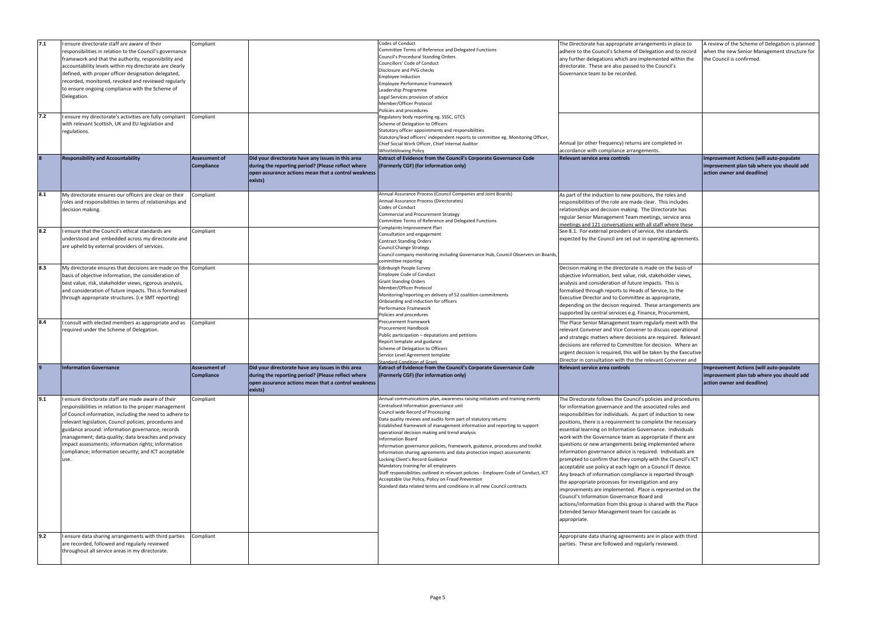| 7.1 | I ensure directorate staff are aware of their<br>responsibilities in relation to the Council's governance<br>framework and that the authority, responsibility and<br>accountability levels within my directorate are clearly<br>defined, with proper officer designation delegated,<br>recorded, monitored, revoked and reviewed regularly<br>to ensure ongoing compliance with the Scheme of<br>Delegation.                                                       | Compliant                                 |                                                                                                                                                                           | Codes of Conduct<br>Committee Terms of Reference and Delegated Functions<br>Council's Procedural Standing Orders<br>Councillors' Code of Conduct<br>Disclosure and PVG checks<br><b>Employee Induction</b><br>Employee Performance Framework<br>Leadership Programme<br>Legal Services provision of advice<br>Member/Officer Protocol                                                                                                                                                                                                                                                                                                                                                                                                                                                                                                                  | The Directorate has appropriate arrangements in place to<br>adhere to the Council's Scheme of Delegation and to record<br>any further delegations which are implemented within the<br>directorate. These are also passed to the Council's<br>Governance team to be recorded.                                                                                                                                                                                                                                                                                                                                                                                                                                                                                                                                                                                                                                                                                                                            | A review of the Scheme of Delegation is planned<br>when the new Senior Management structure for<br>the Council is confirmed. |
|-----|--------------------------------------------------------------------------------------------------------------------------------------------------------------------------------------------------------------------------------------------------------------------------------------------------------------------------------------------------------------------------------------------------------------------------------------------------------------------|-------------------------------------------|---------------------------------------------------------------------------------------------------------------------------------------------------------------------------|--------------------------------------------------------------------------------------------------------------------------------------------------------------------------------------------------------------------------------------------------------------------------------------------------------------------------------------------------------------------------------------------------------------------------------------------------------------------------------------------------------------------------------------------------------------------------------------------------------------------------------------------------------------------------------------------------------------------------------------------------------------------------------------------------------------------------------------------------------|---------------------------------------------------------------------------------------------------------------------------------------------------------------------------------------------------------------------------------------------------------------------------------------------------------------------------------------------------------------------------------------------------------------------------------------------------------------------------------------------------------------------------------------------------------------------------------------------------------------------------------------------------------------------------------------------------------------------------------------------------------------------------------------------------------------------------------------------------------------------------------------------------------------------------------------------------------------------------------------------------------|------------------------------------------------------------------------------------------------------------------------------|
| 7.2 | I ensure my directorate's activities are fully compliant<br>with relevant Scottish, UK and EU legislation and<br>regulations.                                                                                                                                                                                                                                                                                                                                      | Compliant                                 |                                                                                                                                                                           | Policies and procedures<br>Regulatory body reporting eg. SSSC, GTCS<br>Scheme of Delegation to Officers<br>Statutory officer appointments and responsibilities<br>Statutory/lead officers' independent reports to committee eg. Monitoring Officer,<br>Chief Social Work Officer, Chief Internal Auditor<br>Whistleblowing Policy                                                                                                                                                                                                                                                                                                                                                                                                                                                                                                                      | Annual (or other frequency) returns are completed in<br>accordance with compliance arrangements.                                                                                                                                                                                                                                                                                                                                                                                                                                                                                                                                                                                                                                                                                                                                                                                                                                                                                                        |                                                                                                                              |
|     | <b>Responsibility and Accountability</b>                                                                                                                                                                                                                                                                                                                                                                                                                           | <b>Assessment of</b><br><b>Compliance</b> | Did your directorate have any issues in this area<br>during the reporting period? (Please reflect where<br>open assurance actions mean that a control weakness<br>exists) | Extract of Evidence from the Council's Corporate Governance Code<br>(Formerly CGF) (for information only)                                                                                                                                                                                                                                                                                                                                                                                                                                                                                                                                                                                                                                                                                                                                              | <b>Relevant service area controls</b>                                                                                                                                                                                                                                                                                                                                                                                                                                                                                                                                                                                                                                                                                                                                                                                                                                                                                                                                                                   | Improvement Actions (will auto-populate<br>improvement plan tab where you should add<br>action owner and deadline)           |
| 8.1 | My directorate ensures our officers are clear on their<br>roles and responsibilities in terms of relationships and<br>decision making.                                                                                                                                                                                                                                                                                                                             | Compliant                                 |                                                                                                                                                                           | Annual Assurance Process (Council Companies and Joint Boards)<br>Annual Assurance Process (Directorates)<br>Codes of Conduct<br>Commercial and Procurement Strategy<br>Committee Terms of Reference and Delegated Functions                                                                                                                                                                                                                                                                                                                                                                                                                                                                                                                                                                                                                            | As part of the induction to new positions, the roles and<br>responsibilities of the role are made clear. This includes<br>relationships and decision making. The Directorate has<br>regular Senior Management Team meetings, service area<br>meetings and 121 conversations with all staff where these                                                                                                                                                                                                                                                                                                                                                                                                                                                                                                                                                                                                                                                                                                  |                                                                                                                              |
| 8.2 | I ensure that the Council's ethical standards are<br>understood and embedded across my directorate and<br>are upheld by external providers of services.                                                                                                                                                                                                                                                                                                            | Compliant                                 |                                                                                                                                                                           | Consultation and engagement<br><b>Contract Standing Orders</b><br><b>Council Change Strategy</b><br>committee reporting                                                                                                                                                                                                                                                                                                                                                                                                                                                                                                                                                                                                                                                                                                                                | Complaints Improvement Plan<br>See 8.1. For external providers of service, the standards<br>expected by the Council are set out in operating agreements.<br>Council company monitoring including Governance Hub, Council Observers on Boards,                                                                                                                                                                                                                                                                                                                                                                                                                                                                                                                                                                                                                                                                                                                                                           |                                                                                                                              |
| 8.3 | My directorate ensures that decisions are made on the Compliant<br>basis of objective information, the consideration of<br>best value, risk, stakeholder views, rigorous analysis,<br>and consideration of future impacts. This is formalised<br>through appropriate structures. (i.e SMT reporting)                                                                                                                                                               |                                           |                                                                                                                                                                           | Edinburgh People Survey<br><b>Employee Code of Conduct</b><br><b>Grant Standing Orders</b><br>Member/Officer Protocol<br>Monitoring/reporting on delivery of 52 coalition commitments<br>Onboarding and induction for officers<br>Performance Framework<br>Policies and procedures                                                                                                                                                                                                                                                                                                                                                                                                                                                                                                                                                                     | Decision making in the directorate is made on the basis of<br>objective information, best value, risk, stakeholder views,<br>analysis and consideration of future impacts. This is<br>formalised through reports to Heads of Service, to the<br>Executive Director and to Committee as appropriate,<br>depending on the decison required. These arrangements are<br>supported by central services e.g. Finance, Procurement,                                                                                                                                                                                                                                                                                                                                                                                                                                                                                                                                                                            |                                                                                                                              |
| 8.4 | I consult with elected members as appropriate and as<br>required under the Scheme of Delegation.                                                                                                                                                                                                                                                                                                                                                                   | Compliant                                 |                                                                                                                                                                           | Procurement framework<br><b>Procurement Handbook</b><br>Public participation - deputations and petitions<br>Report template and guidance<br>Scheme of Delegation to Officers<br>Service Level Agreement template<br><b>Standard Condition of Grant</b>                                                                                                                                                                                                                                                                                                                                                                                                                                                                                                                                                                                                 | The Place Senior Management team regularly meet with the<br>relevant Convener and Vice Convener to discuss operational<br>and strategic matters where decisions are required. Relevant<br>decisions are referred to Committee for decision. Where an<br>urgent decision is required, this will be taken by the Executive<br>Director in consultation with the the relevant Convener and                                                                                                                                                                                                                                                                                                                                                                                                                                                                                                                                                                                                                 |                                                                                                                              |
|     | <b>Information Governance</b>                                                                                                                                                                                                                                                                                                                                                                                                                                      | Assessment of<br><b>Compliance</b>        | Did your directorate have any issues in this area<br>during the reporting period? (Please reflect where<br>open assurance actions mean that a control weakness<br>exists) | <b>Extract of Evidence from the Council's Corporate Governance Code</b><br>(Formerly CGF) (for information only)                                                                                                                                                                                                                                                                                                                                                                                                                                                                                                                                                                                                                                                                                                                                       | Relevant service area controls                                                                                                                                                                                                                                                                                                                                                                                                                                                                                                                                                                                                                                                                                                                                                                                                                                                                                                                                                                          | <b>Improvement Actions (will auto-populate</b><br>improvement plan tab where you should add<br>action owner and deadline)    |
| 9.1 | I ensure directorate staff are made aware of their<br>responsibilities in relation to the proper management<br>of Council information, including the need to adhere to<br>relevant legislation, Council policies, procedures and<br>guidance around: information governance; records<br>management; data quality; data breaches and privacy<br>impact assessments; information rights; information<br>compliance; information security; and ICT acceptable<br>use. | Compliant                                 |                                                                                                                                                                           | Annual communications plan, awareness raising initiatives and training events<br>Centralised Information governance unit<br>Council wide Record of Processing<br>Data quality reviews and audits form part of statutory returns<br>Established framework of management information and reporting to support<br>operational decision making and trend analysis<br><b>Information Board</b><br>Information governance policies, framework, guidance, procedures and toolkit<br>Information sharing agreements and data protection impact assessments<br>Locking Client's Record Guidance<br>Mandatory training for all employees<br>Staff responsibilities outlined in relevant policies - Employee Code of Conduct, ICT<br>Acceptable Use Policy, Policy on Fraud Prevention<br>Standard data related terms and conditions in all new Council contracts | The Directorate follows the Council's policies and procedures<br>for information governance and the associated roles and<br>responsibilities for individuals. As part of induction to new<br>positions, there is a requirement to complete the necessary<br>essential learning on Information Governance. Individuals<br>work with the Governance team as appropriate if there are<br>questions or new arrangements being implemented where<br>information governance advice is required. Individuals are<br>prompted to confirm that they comply with the Council's ICT<br>acceptable use policy at each login on a Council IT device.<br>Any breach of information compliance is reported through<br>the appropriate processes for investigation and any<br>improvements are implemented. Place is represented on the<br>Council's Information Governance Board and<br>actions/information from this group is shared with the Place<br>Extended Senior Management team for cascade as<br>appropriate. |                                                                                                                              |
| 9.2 | I ensure data sharing arrangements with third parties<br>are recorded, followed and regularly reviewed<br>throughout all service areas in my directorate.                                                                                                                                                                                                                                                                                                          | Compliant                                 |                                                                                                                                                                           |                                                                                                                                                                                                                                                                                                                                                                                                                                                                                                                                                                                                                                                                                                                                                                                                                                                        | Appropriate data sharing agreements are in place with third<br>parties. These are followed and regularly reviewed.                                                                                                                                                                                                                                                                                                                                                                                                                                                                                                                                                                                                                                                                                                                                                                                                                                                                                      |                                                                                                                              |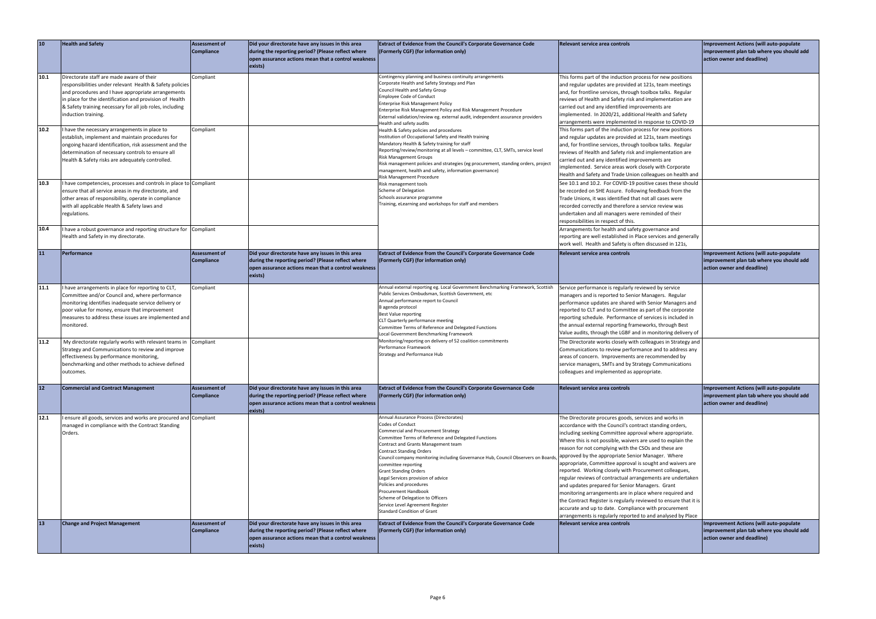| 10   | <b>Health and Safety</b>                                                                                                                                                                                                                                                                                  | Assessment of<br>Compliance               | Did your directorate have any issues in this area<br>during the reporting period? (Please reflect where<br>open assurance actions mean that a control weakness<br>exists) | <b>Extract of Evidence from the Council's Corporate Governance Code</b><br>(Formerly CGF) (for information only)                                                                                                                                                                                                                                                                                                                                                                                                                                                                      | <b>Relevant service area controls</b>                                                                                                                                                                                                                                                                                                                                                                                                                                                                                                                                                                                                                                                                                                                                                                                                                 | Improvement Actions (will auto-populate<br>improvement plan tab where you should add<br>action owner and deadline)        |
|------|-----------------------------------------------------------------------------------------------------------------------------------------------------------------------------------------------------------------------------------------------------------------------------------------------------------|-------------------------------------------|---------------------------------------------------------------------------------------------------------------------------------------------------------------------------|---------------------------------------------------------------------------------------------------------------------------------------------------------------------------------------------------------------------------------------------------------------------------------------------------------------------------------------------------------------------------------------------------------------------------------------------------------------------------------------------------------------------------------------------------------------------------------------|-------------------------------------------------------------------------------------------------------------------------------------------------------------------------------------------------------------------------------------------------------------------------------------------------------------------------------------------------------------------------------------------------------------------------------------------------------------------------------------------------------------------------------------------------------------------------------------------------------------------------------------------------------------------------------------------------------------------------------------------------------------------------------------------------------------------------------------------------------|---------------------------------------------------------------------------------------------------------------------------|
| 10.1 | Directorate staff are made aware of their<br>responsibilities under relevant Health & Safety policies<br>and procedures and I have appropriate arrangements<br>in place for the identification and provision of Health<br>& Safety training necessary for all job roles, including<br>induction training. | Compliant                                 |                                                                                                                                                                           | Contingency planning and business continuity arrangements<br>Corporate Health and Safety Strategy and Plan<br>Council Health and Safety Group<br><b>Employee Code of Conduct</b><br><b>Enterprise Risk Management Policy</b><br>Enterprise Risk Management Policy and Risk Management Procedure<br>External validation/review eg. external audit, independent assurance providers<br>Health and safety audits                                                                                                                                                                         | This forms part of the induction process for new positions<br>and regular updates are provided at 121s, team meetings<br>and, for frontline services, through toolbox talks. Regular<br>reviews of Health and Safety risk and implementation are<br>carried out and any identified improvements are<br>implemented. In 2020/21, additional Health and Safety<br>arrangements were implemented in response to COVID-19                                                                                                                                                                                                                                                                                                                                                                                                                                 |                                                                                                                           |
| 10.2 | I have the necessary arrangements in place to<br>establish, implement and maintain procedures for<br>ongoing hazard identification, risk assessment and the<br>determination of necessary controls to ensure all<br>Health & Safety risks are adequately controlled.                                      | Compliant                                 |                                                                                                                                                                           | Health & Safety policies and procedures<br>Institution of Occupational Safety and Health training<br>Mandatory Health & Safety training for staff<br>Reporting/review/monitoring at all levels - committee, CLT, SMTs, service level<br><b>Risk Management Groups</b><br>Risk management policies and strategies (eg procurement, standing orders, project<br>management, health and safety, information governance)<br>Risk Management Procedure                                                                                                                                     | This forms part of the induction process for new positions<br>and regular updates are provided at 121s, team meetings<br>and, for frontline services, through toolbox talks. Regular<br>reviews of Health and Safety risk and implementation are<br>carried out and any identified improvements are<br>implemented. Service areas work closely with Corporate<br>Health and Safety and Trade Union colleagues on health and                                                                                                                                                                                                                                                                                                                                                                                                                           |                                                                                                                           |
| 10.3 | have competencies, processes and controls in place to Compliant<br>ensure that all service areas in my directorate, and<br>other areas of responsibility, operate in compliance<br>with all applicable Health & Safety laws and<br>regulations.                                                           |                                           |                                                                                                                                                                           | Risk management tools<br>Scheme of Delegation<br>Schools assurance programme<br>Training, eLearning and workshops for staff and members                                                                                                                                                                                                                                                                                                                                                                                                                                               | See 10.1 and 10.2. For COVID-19 positive cases these should<br>be recorded on SHE Assure. Following feedback from the<br>Trade Unions, it was identified that not all cases were<br>recorded correctly and therefore a service review was<br>undertaken and all managers were reminded of their<br>responsibilities in respect of this.                                                                                                                                                                                                                                                                                                                                                                                                                                                                                                               |                                                                                                                           |
| 10.4 | I have a robust governance and reporting structure for Compliant<br>Health and Safety in my directorate.                                                                                                                                                                                                  |                                           |                                                                                                                                                                           |                                                                                                                                                                                                                                                                                                                                                                                                                                                                                                                                                                                       | Arrangements for health and safety governance and<br>reporting are well established in Place services and generally<br>work well. Health and Safety is often discussed in 121s,                                                                                                                                                                                                                                                                                                                                                                                                                                                                                                                                                                                                                                                                       |                                                                                                                           |
| 11   | Performance                                                                                                                                                                                                                                                                                               | <b>Assessment of</b><br><b>Compliance</b> | Did your directorate have any issues in this area<br>during the reporting period? (Please reflect where<br>open assurance actions mean that a control weakness<br>exists) | Extract of Evidence from the Council's Corporate Governance Code<br>(Formerly CGF) (for information only)                                                                                                                                                                                                                                                                                                                                                                                                                                                                             | Relevant service area controls                                                                                                                                                                                                                                                                                                                                                                                                                                                                                                                                                                                                                                                                                                                                                                                                                        | Improvement Actions (will auto-populate<br>improvement plan tab where you should add<br>action owner and deadline)        |
| 11.1 | I have arrangements in place for reporting to CLT,<br>Committee and/or Council and, where performance<br>monitoring identifies inadequate service delivery or<br>poor value for money, ensure that improvement<br>measures to address these issues are implemented and<br>monitored.                      | Compliant                                 |                                                                                                                                                                           | Annual external reporting eg. Local Government Benchmarking Framework, Scottish<br>Public Services Ombudsman, Scottish Government, etc<br>Annual performance report to Council<br>B agenda protocol<br>Best Value reporting<br>CLT Quarterly performance meeting<br>Committee Terms of Reference and Delegated Functions<br>Local Government Benchmarking Framework                                                                                                                                                                                                                   | Service performance is regularly reviewed by service<br>managers and is reported to Senior Managers. Regular<br>performance updates are shared with Senior Managers and<br>reported to CLT and to Committee as part of the corporate<br>reporting schedule. Performance of services is included in<br>the annual external reporting frameworks, through Best<br>Value audits, through the LGBF and in monitoring delivery of                                                                                                                                                                                                                                                                                                                                                                                                                          |                                                                                                                           |
| 11.2 | My directorate regularly works with relevant teams in Compliant<br>Strategy and Communications to review and improve<br>effectiveness by performance monitoring,<br>benchmarking and other methods to achieve defined<br>outcomes.                                                                        |                                           |                                                                                                                                                                           | Monitoring/reporting on delivery of 52 coalition commitments<br>Performance Framework<br><b>Strategy and Performance Hub</b>                                                                                                                                                                                                                                                                                                                                                                                                                                                          | The Directorate works closely with colleagues in Strategy and<br>Communications to review performance and to address any<br>areas of concern. Improvements are recommended by<br>service managers, SMTs and by Strategy Communications<br>colleagues and implemented as appropriate.                                                                                                                                                                                                                                                                                                                                                                                                                                                                                                                                                                  |                                                                                                                           |
| $12$ | <b>Commercial and Contract Management</b>                                                                                                                                                                                                                                                                 | <b>Assessment of</b><br><b>Compliance</b> | Did your directorate have any issues in this area<br>during the reporting period? (Please reflect where<br>open assurance actions mean that a control weakness<br>exists) | Extract of Evidence from the Council's Corporate Governance Code<br>(Formerly CGF) (for information only)                                                                                                                                                                                                                                                                                                                                                                                                                                                                             | Relevant service area controls                                                                                                                                                                                                                                                                                                                                                                                                                                                                                                                                                                                                                                                                                                                                                                                                                        | Improvement Actions (will auto-populate<br>improvement plan tab where you should add<br>action owner and deadline)        |
| 12.1 | I ensure all goods, services and works are procured and Compliant<br>managed in compliance with the Contract Standing<br>Orders.                                                                                                                                                                          |                                           |                                                                                                                                                                           | Annual Assurance Process (Directorates)<br>Codes of Conduct<br>Commercial and Procurement Strategy<br>Committee Terms of Reference and Delegated Functions<br>Contract and Grants Management team<br><b>Contract Standing Orders</b><br>Council company monitoring including Governance Hub, Council Observers on Board<br>committee reporting<br><b>Grant Standing Orders</b><br>Legal Services provision of advice<br>Policies and procedures<br>Procurement Handbook<br>Scheme of Delegation to Officers<br>Service Level Agreement Register<br><b>Standard Condition of Grant</b> | The Directorate procures goods, services and works in<br>accordance with the Council's contract standing orders,<br>including seeking Committee approval where appropriate.<br>Where this is not possible, waivers are used to explain the<br>reason for not complying with the CSOs and these are<br>approved by the appropriate Senior Manager. Where<br>appropriate, Committee approval is sought and waivers are<br>reported. Working closely with Procurement colleagues,<br>regular reviews of contractual arrangements are undertaken<br>and updates prepared for Senior Managers. Grant<br>monitoring arrangements are in place where required and<br>the Contract Register is regularly reviewed to ensure that it is<br>accurate and up to date. Compliance with procurement<br>arrangements is regularly reported to and analysed by Place |                                                                                                                           |
| 13   | <b>Change and Project Management</b>                                                                                                                                                                                                                                                                      | <b>Assessment of</b><br><b>Compliance</b> | Did your directorate have any issues in this area<br>during the reporting period? (Please reflect where<br>open assurance actions mean that a control weakness<br>exists) | Extract of Evidence from the Council's Corporate Governance Code<br>(Formerly CGF) (for information only)                                                                                                                                                                                                                                                                                                                                                                                                                                                                             | Relevant service area controls                                                                                                                                                                                                                                                                                                                                                                                                                                                                                                                                                                                                                                                                                                                                                                                                                        | <b>Improvement Actions (will auto-populate</b><br>improvement plan tab where you should add<br>action owner and deadline) |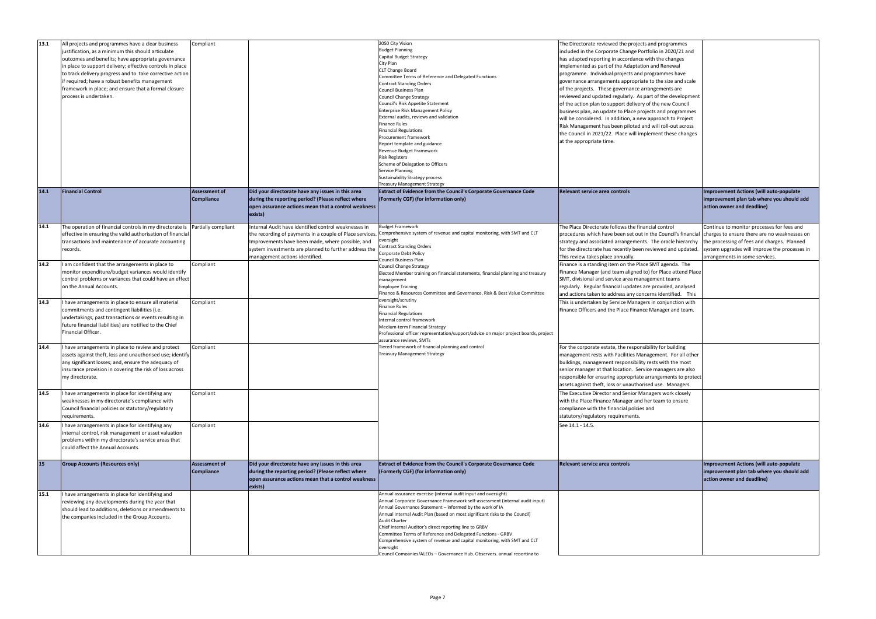| 13.1 | All projects and programmes have a clear business<br>justification, as a minimum this should articulate<br>outcomes and benefits; have appropriate governance<br>n place to support delivery; effective controls in place<br>to track delivery progress and to take corrective action<br>if required; have a robust benefits management<br>framework in place; and ensure that a formal closure<br>process is undertaken. | Compliant                          |                                                                                                                                                                                                                                                                | 2050 City Vision<br><b>Budget Planning</b><br>Capital Budget Strategy<br>City Plan<br>CLT Change Board<br>Committee Terms of Reference and Delegated Functions<br><b>Contract Standing Orders</b><br><b>Council Business Plan</b><br><b>Council Change Strategy</b><br>Council's Risk Appetite Statement<br><b>Enterprise Risk Management Policy</b><br>External audits, reviews and validation<br><b>Finance Rules</b><br><b>Financial Regulations</b><br>Procurement framework<br>Report template and guidance<br>Revenue Budget Framework<br><b>Risk Registers</b><br>Scheme of Delegation to Officers<br>Service Planning<br><b>Sustainability Strategy process</b><br><b>Treasury Management Strategy</b> | The Directorate reviewed the projects and programmes<br>included in the Corporate Change Portfolio in 2020/21 and<br>has adapted reporting in accordance with the changes<br>implemented as part of the Adaptation and Renewal<br>programme. Individual projects and programmes have<br>governance arrangements appropriate to the size and scale<br>of the projects. These governance arrangements are<br>reviewed and updated regularly. As part of the development<br>of the action plan to support delivery of the new Council<br>business plan, an update to Place projects and programmes<br>will be considered. In addition, a new approach to Project<br>Risk Management has been piloted and will roll-out across<br>the Council in 2021/22. Place will implement these changes<br>at the appropriate time. |                                                                                                                                                                                                                              |
|------|---------------------------------------------------------------------------------------------------------------------------------------------------------------------------------------------------------------------------------------------------------------------------------------------------------------------------------------------------------------------------------------------------------------------------|------------------------------------|----------------------------------------------------------------------------------------------------------------------------------------------------------------------------------------------------------------------------------------------------------------|----------------------------------------------------------------------------------------------------------------------------------------------------------------------------------------------------------------------------------------------------------------------------------------------------------------------------------------------------------------------------------------------------------------------------------------------------------------------------------------------------------------------------------------------------------------------------------------------------------------------------------------------------------------------------------------------------------------|----------------------------------------------------------------------------------------------------------------------------------------------------------------------------------------------------------------------------------------------------------------------------------------------------------------------------------------------------------------------------------------------------------------------------------------------------------------------------------------------------------------------------------------------------------------------------------------------------------------------------------------------------------------------------------------------------------------------------------------------------------------------------------------------------------------------|------------------------------------------------------------------------------------------------------------------------------------------------------------------------------------------------------------------------------|
| 14.1 | <b>Financial Control</b>                                                                                                                                                                                                                                                                                                                                                                                                  | Assessment of<br>Compliance        | Did your directorate have any issues in this area<br>during the reporting period? (Please reflect where<br>open assurance actions mean that a control weakness<br>exists)                                                                                      | <b>Extract of Evidence from the Council's Corporate Governance Code</b><br>(Formerly CGF) (for information only)                                                                                                                                                                                                                                                                                                                                                                                                                                                                                                                                                                                               | Relevant service area controls                                                                                                                                                                                                                                                                                                                                                                                                                                                                                                                                                                                                                                                                                                                                                                                       | <b>Improvement Actions (will auto-populate</b><br>improvement plan tab where you should add<br>action owner and deadline)                                                                                                    |
| 14.1 | The operation of financial controls in my directorate is Partially compliant<br>effective in ensuring the valid authorisation of financial<br>transactions and maintenance of accurate accounting<br>records.                                                                                                                                                                                                             |                                    | Internal Audit have identified control weaknesses in<br>the recording of payments in a couple of Place services<br>Improvements have been made, where possible, and<br>system investments are planned to further address the<br>management actions identified. | <b>Budget Framework</b><br>Comprehensive system of revenue and capital monitoring, with SMT and CLT<br>oversight<br><b>Contract Standing Orders</b><br>Corporate Debt Policy<br>Council Business Plan                                                                                                                                                                                                                                                                                                                                                                                                                                                                                                          | The Place Directorate follows the financial control<br>procedures which have been set out in the Council's financial<br>strategy and associated arrangements. The oracle hierarchy<br>for the directorate has recently been reviewed and updated.<br>This review takes place annually.                                                                                                                                                                                                                                                                                                                                                                                                                                                                                                                               | Continue to monitor processes for fees and<br>charges to ensure there are no weaknesses on<br>the processing of fees and charges. Planned<br>system upgrades will improve the processes in<br>arrangements in some services. |
| 14.2 | I am confident that the arrangements in place to<br>monitor expenditure/budget variances would identify<br>control problems or variances that could have an effect<br>on the Annual Accounts.                                                                                                                                                                                                                             | Compliant                          |                                                                                                                                                                                                                                                                | <b>Council Change Strategy</b><br>Elected Member training on financial statements, financial planning and treasury<br>management<br><b>Employee Training</b><br>Finance & Resources Committee and Governance, Risk & Best Value Committee                                                                                                                                                                                                                                                                                                                                                                                                                                                                      | Finance is a standing item on the Place SMT agenda. The<br>Finance Manager (and team aligned to) for Place attend Place<br>SMT, divisional and service area management teams<br>regularly. Regular financial updates are provided, analysed<br>and actions taken to address any concerns identified. This                                                                                                                                                                                                                                                                                                                                                                                                                                                                                                            |                                                                                                                                                                                                                              |
| 14.3 | I have arrangements in place to ensure all material<br>commitments and contingent liabilities (i.e.<br>undertakings, past transactions or events resulting in<br>future financial liabilities) are notified to the Chief<br>Financial Officer.                                                                                                                                                                            | Compliant                          |                                                                                                                                                                                                                                                                | pversight/scrutiny<br>Finance Rules<br><b>Financial Regulations</b><br>Internal control framework<br>Medium-term Financial Strategy<br>Professional officer representation/support/advice on major project boards, project<br>assurance reviews, SMTs                                                                                                                                                                                                                                                                                                                                                                                                                                                          | This is undertaken by Service Managers in conjunction with<br>Finance Officers and the Place Finance Manager and team.                                                                                                                                                                                                                                                                                                                                                                                                                                                                                                                                                                                                                                                                                               |                                                                                                                                                                                                                              |
| 14.4 | I have arrangements in place to review and protect<br>assets against theft, loss and unauthorised use; identify<br>any significant losses; and, ensure the adequacy of<br>insurance provision in covering the risk of loss across<br>my directorate.                                                                                                                                                                      | Compliant                          |                                                                                                                                                                                                                                                                | Fiered framework of financial planning and control<br>Treasury Management Strategy                                                                                                                                                                                                                                                                                                                                                                                                                                                                                                                                                                                                                             | For the corporate estate, the responsibility for building<br>management rests with Facilities Management. For all other<br>buildings, management responsibility rests with the most<br>senior manager at that location. Service managers are also<br>responsible for ensuring appropriate arrangements to protect<br>assets against theft, loss or unauthorised use. Managers                                                                                                                                                                                                                                                                                                                                                                                                                                        |                                                                                                                                                                                                                              |
| 14.5 | I have arrangements in place for identifying any<br>weaknesses in my directorate's compliance with<br>Council financial policies or statutory/regulatory<br>requirements.                                                                                                                                                                                                                                                 | Compliant                          |                                                                                                                                                                                                                                                                |                                                                                                                                                                                                                                                                                                                                                                                                                                                                                                                                                                                                                                                                                                                | The Executive Director and Senior Managers work closely<br>with the Place Finance Manager and her team to ensure<br>compliance with the financial polcies and<br>statutory/regulatory requirements.                                                                                                                                                                                                                                                                                                                                                                                                                                                                                                                                                                                                                  |                                                                                                                                                                                                                              |
| 14.6 | I have arrangements in place for identifying any<br>internal control, risk management or asset valuation<br>problems within my directorate's service areas that<br>could affect the Annual Accounts.                                                                                                                                                                                                                      | Compliant                          |                                                                                                                                                                                                                                                                |                                                                                                                                                                                                                                                                                                                                                                                                                                                                                                                                                                                                                                                                                                                | See 14.1 - 14.5.                                                                                                                                                                                                                                                                                                                                                                                                                                                                                                                                                                                                                                                                                                                                                                                                     |                                                                                                                                                                                                                              |
| 15   | Group Accounts (Resources only)                                                                                                                                                                                                                                                                                                                                                                                           | <b>Assessment of</b><br>Compliance | Did your directorate have any issues in this area<br>during the reporting period? (Please reflect where<br>open assurance actions mean that a control weakness<br>exists)                                                                                      | Extract of Evidence from the Council's Corporate Governance Code<br>(Formerly CGF) (for information only)                                                                                                                                                                                                                                                                                                                                                                                                                                                                                                                                                                                                      | <b>Relevant service area controls</b>                                                                                                                                                                                                                                                                                                                                                                                                                                                                                                                                                                                                                                                                                                                                                                                | Improvement Actions (will auto-populate<br>improvement plan tab where you should add<br>action owner and deadline)                                                                                                           |
| 15.1 | I have arrangements in place for identifying and<br>reviewing any developments during the year that<br>should lead to additions, deletions or amendments to<br>the companies included in the Group Accounts.                                                                                                                                                                                                              |                                    |                                                                                                                                                                                                                                                                | Annual assurance exercise (internal audit input and oversight)<br>Annual Corporate Governance Framework self-assessment (internal audit input)<br>Annual Governance Statement - informed by the work of IA<br>Annual Internal Audit Plan (based on most significant risks to the Council)<br>Audit Charter<br>Chief Internal Auditor's direct reporting line to GRBV<br>Committee Terms of Reference and Delegated Functions - GRBV<br>Comprehensive system of revenue and capital monitoring, with SMT and CLT<br>oversight<br>ouncil Companies/ALFOs - Governance Hub. Observers, annual reporting to                                                                                                        |                                                                                                                                                                                                                                                                                                                                                                                                                                                                                                                                                                                                                                                                                                                                                                                                                      |                                                                                                                                                                                                                              |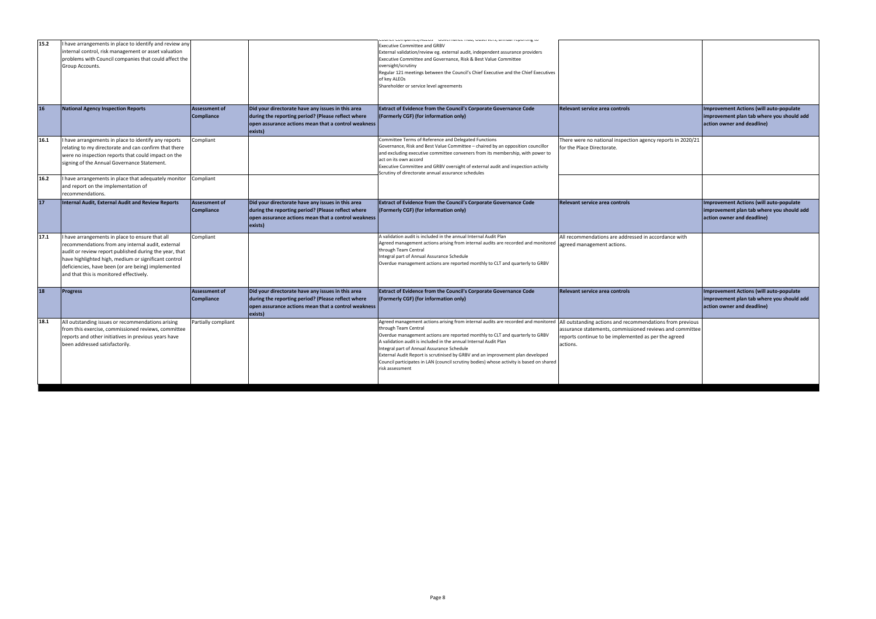| Relevant service area controls                                                                                                                                                            | Improvement Actions (will auto-populate<br>improvement plan tab where you should add<br>action owner and deadline)        |
|-------------------------------------------------------------------------------------------------------------------------------------------------------------------------------------------|---------------------------------------------------------------------------------------------------------------------------|
| There were no national inspection agency reports in 2020/21<br>for the Place Directorate.                                                                                                 |                                                                                                                           |
| Relevant service area controls                                                                                                                                                            | <b>Improvement Actions (will auto-populate</b><br>improvement plan tab where you should add<br>action owner and deadline) |
| All recommendations are addressed in accordance with<br>agreed management actions.                                                                                                        |                                                                                                                           |
| Relevant service area controls                                                                                                                                                            | <b>Improvement Actions (will auto-populate</b><br>improvement plan tab where you should add<br>action owner and deadline) |
| All outstanding actions and recommendations from previous<br>assurance statements, commissioned reviews and committee<br>reports continue to be implemented as per the agreed<br>actions. |                                                                                                                           |

|      |                                                                                                                                                                                                                                                                                                                         |                                           |                                                                                                                                                                           | <b>CONCITIONAL TION, OWNER CITY, UNITION TOPOTORS</b> IN                                                                                                                                                                                                                                                                                                                                                                                                                                                                                                               |                                                                                                                              |
|------|-------------------------------------------------------------------------------------------------------------------------------------------------------------------------------------------------------------------------------------------------------------------------------------------------------------------------|-------------------------------------------|---------------------------------------------------------------------------------------------------------------------------------------------------------------------------|------------------------------------------------------------------------------------------------------------------------------------------------------------------------------------------------------------------------------------------------------------------------------------------------------------------------------------------------------------------------------------------------------------------------------------------------------------------------------------------------------------------------------------------------------------------------|------------------------------------------------------------------------------------------------------------------------------|
| 15.2 | I have arrangements in place to identify and review any<br>internal control, risk management or asset valuation<br>problems with Council companies that could affect the<br>Group Accounts.                                                                                                                             |                                           |                                                                                                                                                                           | <b>Executive Committee and GRBV</b><br>External validation/review eg. external audit, independent assurance providers<br>Executive Committee and Governance, Risk & Best Value Committee<br>oversight/scrutiny<br>Regular 121 meetings between the Council's Chief Executive and the Chief Executives<br>of key ALEOs<br>Shareholder or service level agreements                                                                                                                                                                                                       |                                                                                                                              |
| 16   | <b>National Agency Inspection Reports</b>                                                                                                                                                                                                                                                                               | <b>Assessment of</b><br><b>Compliance</b> | Did your directorate have any issues in this area<br>during the reporting period? (Please reflect where<br>open assurance actions mean that a control weakness<br>exists) | <b>Extract of Evidence from the Council's Corporate Governance Code</b><br>(Formerly CGF) (for information only)                                                                                                                                                                                                                                                                                                                                                                                                                                                       | Relevant service area controls                                                                                               |
| 16.1 | I have arrangements in place to identify any reports<br>relating to my directorate and can confirm that there<br>were no inspection reports that could impact on the<br>signing of the Annual Governance Statement.                                                                                                     | Compliant                                 |                                                                                                                                                                           | Committee Terms of Reference and Delegated Functions<br>Governance, Risk and Best Value Committee - chaired by an opposition councillor<br>and excluding executive committee conveners from its membership, with power to<br>act on its own accord<br>Executive Committee and GRBV oversight of external audit and inspection activity<br>Scrutiny of directorate annual assurance schedules                                                                                                                                                                           | There were no national inspection agency reports in 2020/21<br>for the Place Directorate.                                    |
| 16.2 | I have arrangements in place that adequately monitor<br>and report on the implementation of<br>recommendations.                                                                                                                                                                                                         | Compliant                                 |                                                                                                                                                                           |                                                                                                                                                                                                                                                                                                                                                                                                                                                                                                                                                                        |                                                                                                                              |
| 17   | Internal Audit, External Audit and Review Reports                                                                                                                                                                                                                                                                       | <b>Assessment of</b><br><b>Compliance</b> | Did your directorate have any issues in this area<br>during the reporting period? (Please reflect where<br>open assurance actions mean that a control weakness<br>exists) | <b>Extract of Evidence from the Council's Corporate Governance Code</b><br>(Formerly CGF) (for information only)                                                                                                                                                                                                                                                                                                                                                                                                                                                       | Relevant service area controls                                                                                               |
| 17.1 | I have arrangements in place to ensure that all<br>recommendations from any internal audit, external<br>audit or review report published during the year, that<br>have highlighted high, medium or significant control<br>deficiencies, have been (or are being) implemented<br>and that this is monitored effectively. | Compliant                                 |                                                                                                                                                                           | A validation audit is included in the annual Internal Audit Plan<br>Agreed management actions arising from internal audits are recorded and monitored<br>through Team Central<br>Integral part of Annual Assurance Schedule<br>Overdue management actions are reported monthly to CLT and quarterly to GRBV                                                                                                                                                                                                                                                            | All recommendations are addressed in accordance with<br>agreed management actions.                                           |
| 18   | <b>Progress</b>                                                                                                                                                                                                                                                                                                         | <b>Assessment of</b><br><b>Compliance</b> | Did your directorate have any issues in this area<br>during the reporting period? (Please reflect where<br>open assurance actions mean that a control weakness<br>exists) | <b>Extract of Evidence from the Council's Corporate Governance Code</b><br>(Formerly CGF) (for information only)                                                                                                                                                                                                                                                                                                                                                                                                                                                       | Relevant service area controls                                                                                               |
| 18.1 | All outstanding issues or recommendations arising<br>from this exercise, commissioned reviews, committee<br>reports and other initiatives in previous years have<br>been addressed satisfactorily.                                                                                                                      | Partially compliant                       |                                                                                                                                                                           | Agreed management actions arising from internal audits are recorded and monitored  All outstanding actions and recommendations from previous<br>through Team Central<br>Overdue management actions are reported monthly to CLT and quarterly to GRBV<br>A validation audit is included in the annual Internal Audit Plan<br>Integral part of Annual Assurance Schedule<br>External Audit Report is scrutinised by GRBV and an improvement plan developed<br>Council participates in LAN (council scrutiny bodies) whose activity is based on shared<br>risk assessment | assurance statements, commissioned reviews and committee<br>reports continue to be implemented as per the agreed<br>actions. |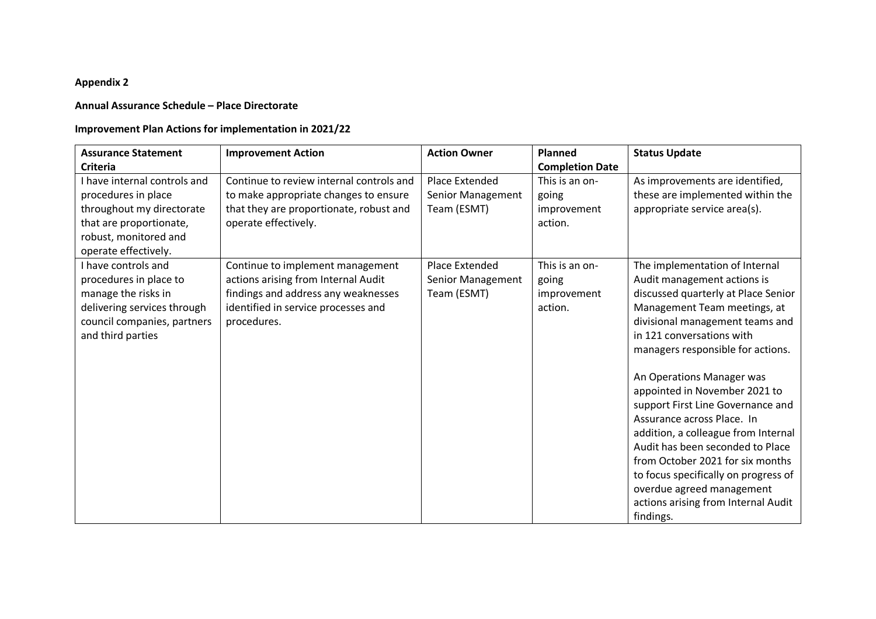#### **Appendix 2**

#### **Annual Assurance Schedule – Place Directorate**

#### **Improvement Plan Actions for implementation in 2021/22**

| <b>Assurance Statement</b>                                                                                                                                   | <b>Improvement Action</b>                                                                                                                                            | <b>Action Owner</b>                                | Planned                                           | <b>Status Update</b>                                                                                                                                                                                                                                                                                                                                                                                                                                                                                                                                                                                               |
|--------------------------------------------------------------------------------------------------------------------------------------------------------------|----------------------------------------------------------------------------------------------------------------------------------------------------------------------|----------------------------------------------------|---------------------------------------------------|--------------------------------------------------------------------------------------------------------------------------------------------------------------------------------------------------------------------------------------------------------------------------------------------------------------------------------------------------------------------------------------------------------------------------------------------------------------------------------------------------------------------------------------------------------------------------------------------------------------------|
| Criteria                                                                                                                                                     |                                                                                                                                                                      |                                                    | <b>Completion Date</b>                            |                                                                                                                                                                                                                                                                                                                                                                                                                                                                                                                                                                                                                    |
| I have internal controls and<br>procedures in place<br>throughout my directorate<br>that are proportionate,<br>robust, monitored and<br>operate effectively. | Continue to review internal controls and<br>to make appropriate changes to ensure<br>that they are proportionate, robust and<br>operate effectively.                 | Place Extended<br>Senior Management<br>Team (ESMT) | This is an on-<br>going<br>improvement<br>action. | As improvements are identified,<br>these are implemented within the<br>appropriate service area(s).                                                                                                                                                                                                                                                                                                                                                                                                                                                                                                                |
| I have controls and<br>procedures in place to<br>manage the risks in<br>delivering services through<br>council companies, partners<br>and third parties      | Continue to implement management<br>actions arising from Internal Audit<br>findings and address any weaknesses<br>identified in service processes and<br>procedures. | Place Extended<br>Senior Management<br>Team (ESMT) | This is an on-<br>going<br>improvement<br>action. | The implementation of Internal<br>Audit management actions is<br>discussed quarterly at Place Senior<br>Management Team meetings, at<br>divisional management teams and<br>in 121 conversations with<br>managers responsible for actions.<br>An Operations Manager was<br>appointed in November 2021 to<br>support First Line Governance and<br>Assurance across Place. In<br>addition, a colleague from Internal<br>Audit has been seconded to Place<br>from October 2021 for six months<br>to focus specifically on progress of<br>overdue agreed management<br>actions arising from Internal Audit<br>findings. |